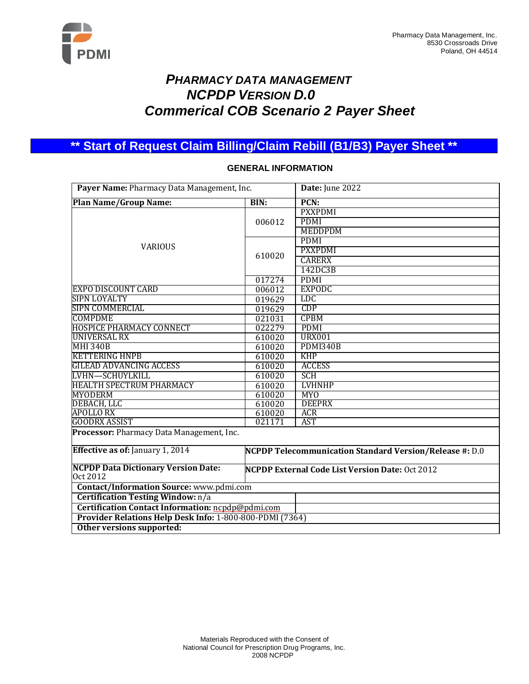

# *PHARMACY DATA MANAGEMENT NCPDP VERSION D.0 Commerical COB Scenario 2 Payer Sheet*

**\*\* Start of Request Claim Billing/Claim Rebill (B1/B3) Payer Sheet \*\***

#### **Payer Name:** Pharmacy Data Management, Inc. **Date:** June 2022 **Plan Name/Group Name: BIN: PCN:** VARIOUS 006012 PXXPDMI PDMI MEDDPDM 610020 PDMI PXXPDMI CARERX 142DC3B 017274 PDMI<br>006012 EXPODC EXPO DISCOUNT CARD 006012 EXPO<br>SIPN LOYALTY 019629 LDC SIPN LOYALTY 019629 LDC SIPN COMMERCIAL COMPONE COMPONE COMPONE COMPDME 021031 CPBM HOSPICE PHARMACY CONNECT 022279 PDMI UNIVERSAL RX 610020 MHI 340B 610020 PDMI340B KETTERING HNPB 610020 KHP **GILEAD ADVANCING ACCESS** LVHN—SCHUYLKILL 610020 SCH HEALTH SPECTRUM PHARMACY 610020 LVHNHP MYODERM 610020 MYO DEBACH, LLC 610020 DEEPRX APOLLO RX 610020 ACR GOODRX ASSIST 021171 AST **Processor:** Pharmacy Data Management, Inc. **Effective as of:** January 1, 2014 **NCPDP Telecommunication Standard Version/Release #:** D.0 **NCPDP Data Dictionary Version Date:** Oct 2012 **NCPDP External Code List Version Date:** Oct 2012 **Contact/Information Source:** [www.pdmi.com](http://www.pdmi.com/) **Certification Testing Window:** n/a **Certification Contact Information:** [ncpdp@pdmi.com](mailto:ncpdp@pdmi.com) **Provider Relations Help Desk Info:** 1-800-800-PDMI (7364) **Other versions supported:**

### **GENERAL INFORMATION**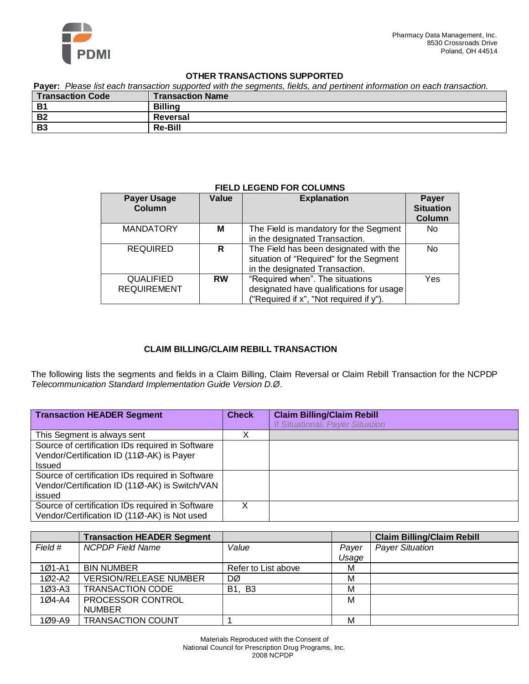

### **OTHER TRANSACTIONS SUPPORTED**

**Payer:** *Please list each transaction supported with the segments, fields, and pertinent information on each transaction.*

| <b>Transaction Code</b> | <b>Transaction Name</b> |
|-------------------------|-------------------------|
| <b>B1</b>               | <b>Billing</b>          |
| <b>B2</b>               | Reversal                |
| <b>B3</b>               | <b>Re-Bill</b>          |

### **FIELD LEGEND FOR COLUMNS**

| <b>Payer Usage</b><br>Column           | Value     | <b>Explanation</b>                                                                                                     | <b>Payer</b><br><b>Situation</b><br>Column |
|----------------------------------------|-----------|------------------------------------------------------------------------------------------------------------------------|--------------------------------------------|
| <b>MANDATORY</b>                       | м         | The Field is mandatory for the Segment<br>in the designated Transaction.                                               | No.                                        |
| <b>REQUIRED</b>                        | R         | The Field has been designated with the<br>situation of "Required" for the Segment<br>in the designated Transaction.    | No.                                        |
| <b>QUALIFIED</b><br><b>REQUIREMENT</b> | <b>RW</b> | "Required when". The situations<br>designated have qualifications for usage<br>("Required if x", "Not required if y"). | Yes                                        |

### **CLAIM BILLING/CLAIM REBILL TRANSACTION**

The following lists the segments and fields in a Claim Billing, Claim Reversal or Claim Rebill Transaction for the NCPDP *Telecommunication Standard Implementation Guide Version D.Ø*.

| <b>Transaction HEADER Segment</b>                | <b>Check</b> | <b>Claim Billing/Claim Rebill</b> |
|--------------------------------------------------|--------------|-----------------------------------|
|                                                  |              | If Situational, Payer Situation   |
| This Segment is always sent                      |              |                                   |
| Source of certification IDs required in Software |              |                                   |
| Vendor/Certification ID (11Ø-AK) is Payer        |              |                                   |
| Issued                                           |              |                                   |
| Source of certification IDs required in Software |              |                                   |
| Vendor/Certification ID (11Ø-AK) is Switch/VAN   |              |                                   |
| issued                                           |              |                                   |
| Source of certification IDs required in Software | X            |                                   |
| Vendor/Certification ID (11Ø-AK) is Not used     |              |                                   |

|            | <b>Transaction HEADER Segment</b> |                     |       | <b>Claim Billing/Claim Rebill</b> |
|------------|-----------------------------------|---------------------|-------|-----------------------------------|
| Field #    | <b>NCPDP</b> Field Name           | Value               | Payer | <b>Payer Situation</b>            |
|            |                                   |                     | Usage |                                   |
| $101 - A1$ | <b>BIN NUMBER</b>                 | Refer to List above | М     |                                   |
| 1Ø2-A2     | <b>VERSION/RELEASE NUMBER</b>     | DØ                  | М     |                                   |
| $103 - A3$ | <b>TRANSACTION CODE</b>           | <b>B1, B3</b>       | м     |                                   |
| $104-A4$   | PROCESSOR CONTROL                 |                     | М     |                                   |
|            | <b>NUMBER</b>                     |                     |       |                                   |
| $109 - A9$ | <b>TRANSACTION COUNT</b>          |                     | М     |                                   |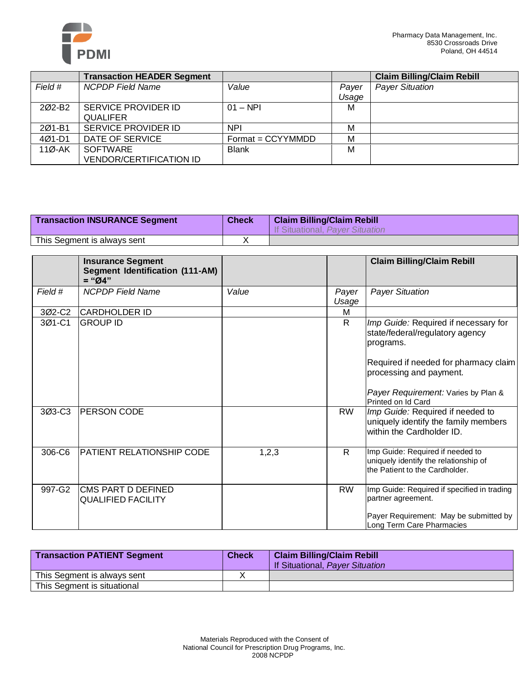

|                    | <b>Transaction HEADER Segment</b> |                     |       | <b>Claim Billing/Claim Rebill</b> |
|--------------------|-----------------------------------|---------------------|-------|-----------------------------------|
| Field #            | <b>NCPDP Field Name</b>           | Value               | Payer | <b>Payer Situation</b>            |
|                    |                                   |                     | Usage |                                   |
| 202-B <sub>2</sub> | SERVICE PROVIDER ID               | $01 - NPI$          | М     |                                   |
|                    | <b>QUALIFER</b>                   |                     |       |                                   |
| 201-B1             | <b>SERVICE PROVIDER ID</b>        | <b>NPI</b>          | М     |                                   |
| 4Ø1-D1             | DATE OF SERVICE                   | $Format = CCYYMMDD$ | M     |                                   |
| $110 - AK$         | <b>SOFTWARE</b>                   | <b>Blank</b>        | М     |                                   |
|                    | <b>VENDOR/CERTIFICATION ID</b>    |                     |       |                                   |

| <b>Transaction INSURANCE Segment</b> | <b>Check</b> | <b>Claim Billing/Claim Rebill</b><br>If Situational, Payer Situation |
|--------------------------------------|--------------|----------------------------------------------------------------------|
| This Segment is always sent          |              |                                                                      |

|         | <b>Insurance Segment</b><br><b>Segment Identification (111-AM)</b><br>$=$ "Ø4" |       |                | <b>Claim Billing/Claim Rebill</b>                                                                                                                                                                                     |
|---------|--------------------------------------------------------------------------------|-------|----------------|-----------------------------------------------------------------------------------------------------------------------------------------------------------------------------------------------------------------------|
| Field # | <b>NCPDP</b> Field Name                                                        | Value | Payer<br>Usage | <b>Payer Situation</b>                                                                                                                                                                                                |
| 3Ø2-C2  | CARDHOLDER ID                                                                  |       | м              |                                                                                                                                                                                                                       |
| 3Ø1-C1  | GROUP ID                                                                       |       | $\mathsf{R}$   | Imp Guide: Required if necessary for<br>state/federal/regulatory agency<br>programs.<br>Required if needed for pharmacy claim<br>processing and payment.<br>Payer Requirement: Varies by Plan &<br>Printed on Id Card |
| 3Ø3-C3  | <b>PERSON CODE</b>                                                             |       | <b>RW</b>      | Imp Guide: Required if needed to<br>uniquely identify the family members<br>within the Cardholder ID.                                                                                                                 |
| 306-C6  | <b>PATIENT RELATIONSHIP CODE</b>                                               | 1,2,3 | R              | Imp Guide: Required if needed to<br>uniquely identify the relationship of<br>the Patient to the Cardholder.                                                                                                           |
| 997-G2  | CMS PART D DEFINED<br><b>QUALIFIED FACILITY</b>                                |       | <b>RW</b>      | Imp Guide: Required if specified in trading<br>partner agreement.<br>Payer Requirement: May be submitted by<br>Long Term Care Pharmacies                                                                              |

| <b>Transaction PATIENT Segment</b> | <b>Check</b> | <b>Claim Billing/Claim Rebill</b><br>If Situational, Payer Situation |
|------------------------------------|--------------|----------------------------------------------------------------------|
| This Segment is always sent        |              |                                                                      |
| This Segment is situational        |              |                                                                      |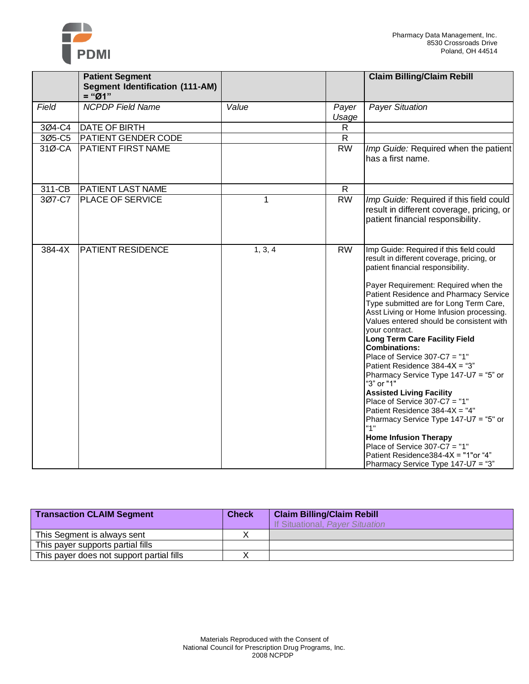

|        | <b>Patient Segment</b><br><b>Segment Identification (111-AM)</b> |         |                | <b>Claim Billing/Claim Rebill</b>                                                                                                                                                                                                                                                                                                                                                                                                                                                                                                                                                                                                                                                                                                                                                                                                                                     |
|--------|------------------------------------------------------------------|---------|----------------|-----------------------------------------------------------------------------------------------------------------------------------------------------------------------------------------------------------------------------------------------------------------------------------------------------------------------------------------------------------------------------------------------------------------------------------------------------------------------------------------------------------------------------------------------------------------------------------------------------------------------------------------------------------------------------------------------------------------------------------------------------------------------------------------------------------------------------------------------------------------------|
|        | $=$ " $O1"$                                                      |         |                |                                                                                                                                                                                                                                                                                                                                                                                                                                                                                                                                                                                                                                                                                                                                                                                                                                                                       |
| Field  | <b>NCPDP Field Name</b>                                          | Value   | Payer<br>Usage | <b>Payer Situation</b>                                                                                                                                                                                                                                                                                                                                                                                                                                                                                                                                                                                                                                                                                                                                                                                                                                                |
| 3Ø4-C4 | <b>DATE OF BIRTH</b>                                             |         | $\mathsf{R}$   |                                                                                                                                                                                                                                                                                                                                                                                                                                                                                                                                                                                                                                                                                                                                                                                                                                                                       |
| 3Ø5-C5 | <b>PATIENT GENDER CODE</b>                                       |         | $\mathsf{R}$   |                                                                                                                                                                                                                                                                                                                                                                                                                                                                                                                                                                                                                                                                                                                                                                                                                                                                       |
| 31Ø-CA | <b>PATIENT FIRST NAME</b>                                        |         | <b>RW</b>      | Imp Guide: Required when the patient<br>has a first name.                                                                                                                                                                                                                                                                                                                                                                                                                                                                                                                                                                                                                                                                                                                                                                                                             |
| 311-CB | <b>PATIENT LAST NAME</b>                                         |         | $\mathsf{R}$   |                                                                                                                                                                                                                                                                                                                                                                                                                                                                                                                                                                                                                                                                                                                                                                                                                                                                       |
| 3Ø7-C7 | <b>PLACE OF SERVICE</b>                                          | 1       | <b>RW</b>      | Imp Guide: Required if this field could<br>result in different coverage, pricing, or<br>patient financial responsibility.                                                                                                                                                                                                                                                                                                                                                                                                                                                                                                                                                                                                                                                                                                                                             |
| 384-4X | <b>PATIENT RESIDENCE</b>                                         | 1, 3, 4 | <b>RW</b>      | Imp Guide: Required if this field could<br>result in different coverage, pricing, or<br>patient financial responsibility.<br>Payer Requirement: Required when the<br>Patient Residence and Pharmacy Service<br>Type submitted are for Long Term Care,<br>Asst Living or Home Infusion processing.<br>Values entered should be consistent with<br>your contract.<br><b>Long Term Care Facility Field</b><br><b>Combinations:</b><br>Place of Service $307-C7 = "1"$<br>Patient Residence 384-4X = "3"<br>Pharmacy Service Type 147-U7 = "5" or<br>"3" or "1"<br><b>Assisted Living Facility</b><br>Place of Service $307-C7 = "1"$<br>Patient Residence 384-4X = "4"<br>Pharmacy Service Type 147-U7 = "5" or<br>"1"<br><b>Home Infusion Therapy</b><br>Place of Service $307 - C7 = "1"$<br>Patient Residence384-4X = "1"or "4"<br>Pharmacy Service Type 147-U7 = "3" |

| <b>Transaction CLAIM Segment</b>          | <b>Check</b> | <b>Claim Billing/Claim Rebill</b><br><b>If Situational, Payer Situation</b> |
|-------------------------------------------|--------------|-----------------------------------------------------------------------------|
| This Segment is always sent               |              |                                                                             |
| This payer supports partial fills         |              |                                                                             |
| This payer does not support partial fills |              |                                                                             |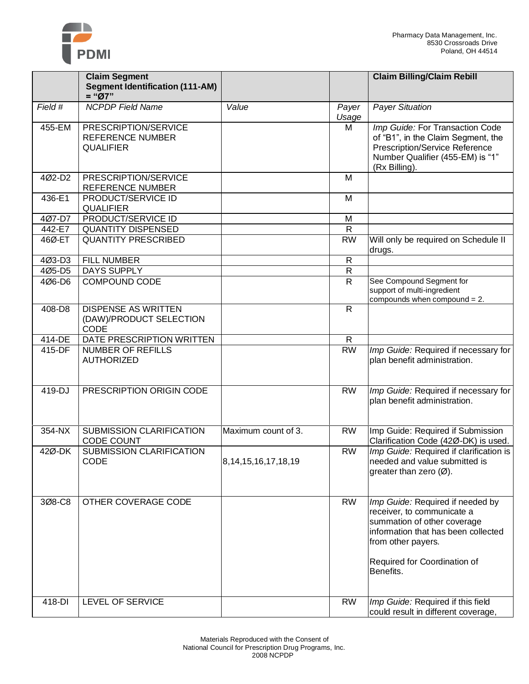

|          | <b>Claim Segment</b><br><b>Segment Identification (111-AM)</b><br>$=$ "Ø7" |                           |                | <b>Claim Billing/Claim Rebill</b>                                                                                                                                                                       |
|----------|----------------------------------------------------------------------------|---------------------------|----------------|---------------------------------------------------------------------------------------------------------------------------------------------------------------------------------------------------------|
| Field #  | <b>NCPDP Field Name</b>                                                    | Value                     | Payer<br>Usage | <b>Payer Situation</b>                                                                                                                                                                                  |
| 455-EM   | PRESCRIPTION/SERVICE<br><b>REFERENCE NUMBER</b><br><b>QUALIFIER</b>        |                           | M              | Imp Guide: For Transaction Code<br>of "B1", in the Claim Segment, the<br>Prescription/Service Reference<br>Number Qualifier (455-EM) is "1"<br>(Rx Billing).                                            |
| 4Ø2-D2   | PRESCRIPTION/SERVICE<br>REFERENCE NUMBER                                   |                           | M              |                                                                                                                                                                                                         |
| 436-E1   | PRODUCT/SERVICE ID<br><b>QUALIFIER</b>                                     |                           | M              |                                                                                                                                                                                                         |
| 407-D7   | PRODUCT/SERVICE ID                                                         |                           | M              |                                                                                                                                                                                                         |
| 442-E7   | <b>QUANTITY DISPENSED</b>                                                  |                           | $\mathsf{R}$   |                                                                                                                                                                                                         |
| 46Ø-ET   | <b>QUANTITY PRESCRIBED</b>                                                 |                           | <b>RW</b>      | Will only be required on Schedule II<br>drugs.                                                                                                                                                          |
| 4Ø3-D3   | <b>FILL NUMBER</b>                                                         |                           | R              |                                                                                                                                                                                                         |
| 4Ø5-D5   | DAYS SUPPLY                                                                |                           | R              |                                                                                                                                                                                                         |
| 4Ø6-D6   | <b>COMPOUND CODE</b>                                                       |                           | $\overline{R}$ | See Compound Segment for<br>support of multi-ingredient<br>compounds when compound $= 2$ .                                                                                                              |
| 408-D8   | <b>DISPENSE AS WRITTEN</b><br>(DAW)/PRODUCT SELECTION<br><b>CODE</b>       |                           | $\mathsf{R}$   |                                                                                                                                                                                                         |
| 414-DE   | DATE PRESCRIPTION WRITTEN                                                  |                           | $\mathsf{R}$   |                                                                                                                                                                                                         |
| 415-DF   | <b>NUMBER OF REFILLS</b><br><b>AUTHORIZED</b>                              |                           | <b>RW</b>      | Imp Guide: Required if necessary for<br>plan benefit administration.                                                                                                                                    |
| 419-DJ   | PRESCRIPTION ORIGIN CODE                                                   |                           | <b>RW</b>      | Imp Guide: Required if necessary for<br>plan benefit administration.                                                                                                                                    |
| $354-NX$ | SUBMISSION CLARIFICATION<br><b>CODE COUNT</b>                              | Maximum count of 3.       | <b>RW</b>      | Imp Guide: Required if Submission<br>Clarification Code (42Ø-DK) is used.                                                                                                                               |
| 42Ø-DK   | SUBMISSION CLARIFICATION<br>CODE                                           | 8, 14, 15, 16, 17, 18, 19 | <b>RW</b>      | Imp Guide: Required if clarification is<br>needed and value submitted is<br>greater than zero $(\emptyset)$ .                                                                                           |
| 3Ø8-C8   | OTHER COVERAGE CODE                                                        |                           | <b>RW</b>      | Imp Guide: Required if needed by<br>receiver, to communicate a<br>summation of other coverage<br>information that has been collected<br>from other payers.<br>Required for Coordination of<br>Benefits. |
| 418-DI   | LEVEL OF SERVICE                                                           |                           | <b>RW</b>      | Imp Guide: Required if this field<br>could result in different coverage,                                                                                                                                |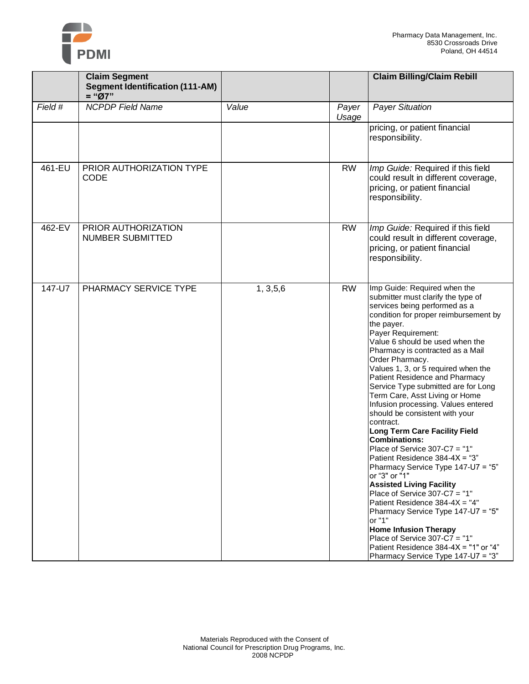

|         | <b>Claim Segment</b>                               |            |                | <b>Claim Billing/Claim Rebill</b>                                                                                                                                                                                                                                                                                                                                                                                                                                                                                                                                                                                                                                                                                                                                                                                                                                                                                                                                                                                  |
|---------|----------------------------------------------------|------------|----------------|--------------------------------------------------------------------------------------------------------------------------------------------------------------------------------------------------------------------------------------------------------------------------------------------------------------------------------------------------------------------------------------------------------------------------------------------------------------------------------------------------------------------------------------------------------------------------------------------------------------------------------------------------------------------------------------------------------------------------------------------------------------------------------------------------------------------------------------------------------------------------------------------------------------------------------------------------------------------------------------------------------------------|
|         | <b>Segment Identification (111-AM)</b><br>$=$ "Ø7" |            |                |                                                                                                                                                                                                                                                                                                                                                                                                                                                                                                                                                                                                                                                                                                                                                                                                                                                                                                                                                                                                                    |
| Field # | <b>NCPDP Field Name</b>                            | Value      | Payer<br>Usage | <b>Payer Situation</b>                                                                                                                                                                                                                                                                                                                                                                                                                                                                                                                                                                                                                                                                                                                                                                                                                                                                                                                                                                                             |
|         |                                                    |            |                | pricing, or patient financial<br>responsibility.                                                                                                                                                                                                                                                                                                                                                                                                                                                                                                                                                                                                                                                                                                                                                                                                                                                                                                                                                                   |
| 461-EU  | PRIOR AUTHORIZATION TYPE<br><b>CODE</b>            |            | <b>RW</b>      | Imp Guide: Required if this field<br>could result in different coverage,<br>pricing, or patient financial<br>responsibility.                                                                                                                                                                                                                                                                                                                                                                                                                                                                                                                                                                                                                                                                                                                                                                                                                                                                                       |
| 462-EV  | PRIOR AUTHORIZATION<br>NUMBER SUBMITTED            |            | <b>RW</b>      | Imp Guide: Required if this field<br>could result in different coverage,<br>pricing, or patient financial<br>responsibility.                                                                                                                                                                                                                                                                                                                                                                                                                                                                                                                                                                                                                                                                                                                                                                                                                                                                                       |
| 147-U7  | PHARMACY SERVICE TYPE                              | 1, 3, 5, 6 | <b>RW</b>      | Imp Guide: Required when the<br>submitter must clarify the type of<br>services being performed as a<br>condition for proper reimbursement by<br>the payer.<br>Payer Requirement:<br>Value 6 should be used when the<br>Pharmacy is contracted as a Mail<br>Order Pharmacy.<br>Values 1, 3, or 5 required when the<br>Patient Residence and Pharmacy<br>Service Type submitted are for Long<br>Term Care, Asst Living or Home<br>Infusion processing. Values entered<br>should be consistent with your<br>contract.<br><b>Long Term Care Facility Field</b><br><b>Combinations:</b><br>Place of Service 307-C7 = "1"<br>Patient Residence 384-4X = "3"<br>Pharmacy Service Type 147-U7 = "5"<br>or "3" or "1"<br><b>Assisted Living Facility</b><br>Place of Service 307-C7 = "1"<br>Patient Residence 384-4X = "4"<br>Pharmacy Service Type 147-U7 = "5"<br>or "1"<br><b>Home Infusion Therapy</b><br>Place of Service 307-C7 = "1"<br>Patient Residence 384-4X = "1" or "4"<br>Pharmacy Service Type 147-U7 = "3" |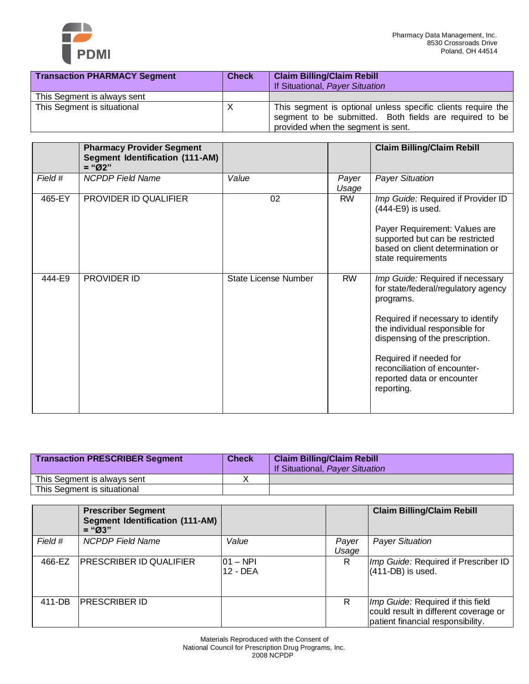

| <b>Transaction PHARMACY Segment</b> | <b>Check</b> | <b>Claim Billing/Claim Rebill</b><br>If Situational, Payer Situation                                                                                          |
|-------------------------------------|--------------|---------------------------------------------------------------------------------------------------------------------------------------------------------------|
| This Segment is always sent         |              |                                                                                                                                                               |
| This Segment is situational         | X            | This segment is optional unless specific clients require the<br>segment to be submitted. Both fields are required to be<br>provided when the segment is sent. |

|         | <b>Pharmacy Provider Segment</b><br><b>Segment Identification (111-AM)</b><br>$=$ "Ø2" |                             |                | <b>Claim Billing/Claim Rebill</b>                                                                                                                                                                                                                                                                    |
|---------|----------------------------------------------------------------------------------------|-----------------------------|----------------|------------------------------------------------------------------------------------------------------------------------------------------------------------------------------------------------------------------------------------------------------------------------------------------------------|
| Field # | <b>NCPDP Field Name</b>                                                                | Value                       | Payer<br>Usage | <b>Payer Situation</b>                                                                                                                                                                                                                                                                               |
| 465-EY  | PROVIDER ID QUALIFIER                                                                  | 02                          | <b>RW</b>      | Imp Guide: Required if Provider ID<br>(444-E9) is used.<br>Payer Requirement: Values are<br>supported but can be restricted<br>based on client determination or<br>state requirements                                                                                                                |
| 444-E9  | PROVIDER ID                                                                            | <b>State License Number</b> | <b>RW</b>      | Imp Guide: Required if necessary<br>for state/federal/regulatory agency<br>programs.<br>Required if necessary to identify<br>the individual responsible for<br>dispensing of the prescription.<br>Required if needed for<br>reconciliation of encounter-<br>reported data or encounter<br>reporting. |

| <b>Transaction PRESCRIBER Segment</b> | <b>Check</b> | <b>Claim Billing/Claim Rebill</b><br>If Situational, Payer Situation |
|---------------------------------------|--------------|----------------------------------------------------------------------|
| This Segment is always sent           |              |                                                                      |
| This Segment is situational           |              |                                                                      |

|         | <b>Prescriber Segment</b><br><b>Segment Identification (111-AM)</b><br>$=$ "Ø3" |                         |                | <b>Claim Billing/Claim Rebill</b>                                                                               |
|---------|---------------------------------------------------------------------------------|-------------------------|----------------|-----------------------------------------------------------------------------------------------------------------|
| Field # | <b>NCPDP</b> Field Name                                                         | Value                   | Payer<br>Usage | <b>Payer Situation</b>                                                                                          |
| 466-EZ  | <b>PRESCRIBER ID QUALIFIER</b>                                                  | $101 - NPI$<br>12 - DEA | R              | Imp Guide: Required if Prescriber ID<br>$(411$ -DB) is used.                                                    |
| 411-DB  | <b>PRESCRIBER ID</b>                                                            |                         | R              | Imp Guide: Required if this field<br>could result in different coverage or<br>patient financial responsibility. |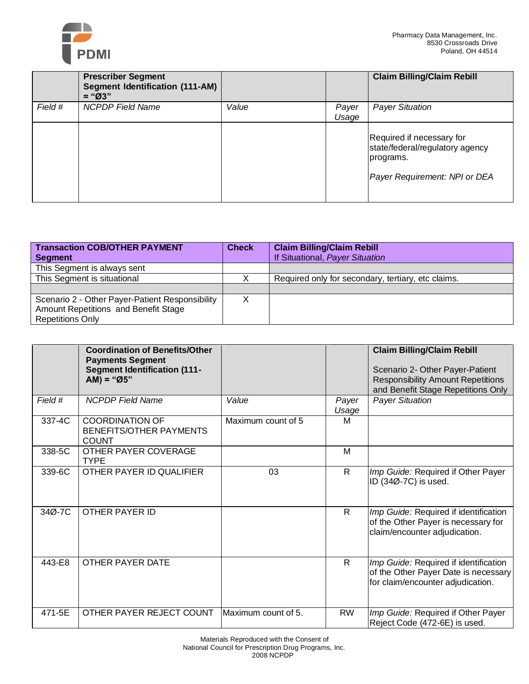

|         | <b>Prescriber Segment</b><br><b>Segment Identification (111-AM)</b><br>$=$ "Ø3" |       |                | <b>Claim Billing/Claim Rebill</b>                                                                          |
|---------|---------------------------------------------------------------------------------|-------|----------------|------------------------------------------------------------------------------------------------------------|
| Field # | <b>NCPDP Field Name</b>                                                         | Value | Payer<br>Usage | <b>Payer Situation</b>                                                                                     |
|         |                                                                                 |       |                | Required if necessary for<br>state/federal/regulatory agency<br>programs.<br>Payer Requirement: NPI or DEA |

| <b>Transaction COB/OTHER PAYMENT</b>            | <b>Check</b> | <b>Claim Billing/Claim Rebill</b>                  |
|-------------------------------------------------|--------------|----------------------------------------------------|
| Segment                                         |              | If Situational, Payer Situation                    |
| This Segment is always sent                     |              |                                                    |
| This Segment is situational                     |              | Required only for secondary, tertiary, etc claims. |
|                                                 |              |                                                    |
| Scenario 2 - Other Payer-Patient Responsibility |              |                                                    |
| Amount Repetitions and Benefit Stage            |              |                                                    |
| <b>Repetitions Only</b>                         |              |                                                    |

|         | <b>Coordination of Benefits/Other</b><br><b>Payments Segment</b><br><b>Segment Identification (111-</b><br>$AM) = "Ø5"$ |                     |                | <b>Claim Billing/Claim Rebill</b><br>Scenario 2- Other Payer-Patient<br><b>Responsibility Amount Repetitions</b><br>and Benefit Stage Repetitions Only |
|---------|-------------------------------------------------------------------------------------------------------------------------|---------------------|----------------|--------------------------------------------------------------------------------------------------------------------------------------------------------|
| Field # | <b>NCPDP</b> Field Name                                                                                                 | Value               | Payer<br>Usage | <b>Payer Situation</b>                                                                                                                                 |
| 337-4C  | <b>COORDINATION OF</b><br>BENEFITS/OTHER PAYMENTS<br><b>COUNT</b>                                                       | Maximum count of 5  | м              |                                                                                                                                                        |
| 338-5C  | OTHER PAYER COVERAGE<br><b>TYPE</b>                                                                                     |                     | M              |                                                                                                                                                        |
| 339-6C  | OTHER PAYER ID QUALIFIER                                                                                                | 03                  | $\mathsf{R}$   | Imp Guide: Required if Other Payer<br>ID (34Ø-7C) is used.                                                                                             |
| 34Ø-7C  | OTHER PAYER ID                                                                                                          |                     | $\mathsf{R}$   | Imp Guide: Required if identification<br>of the Other Payer is necessary for<br>claim/encounter adjudication.                                          |
| 443-E8  | OTHER PAYER DATE                                                                                                        |                     | R.             | Imp Guide: Required if identification<br>of the Other Payer Date is necessary<br>for claim/encounter adjudication.                                     |
| 471-5E  | OTHER PAYER REJECT COUNT                                                                                                | Maximum count of 5. | <b>RW</b>      | Imp Guide: Required if Other Payer<br>Reject Code (472-6E) is used.                                                                                    |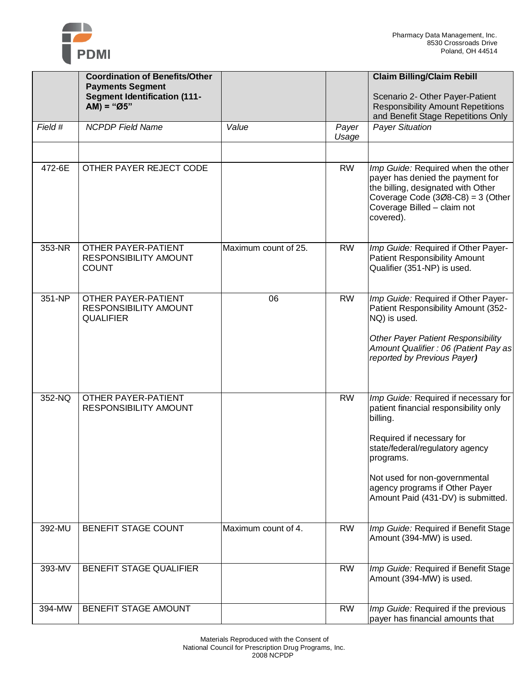

|         | <b>Coordination of Benefits/Other</b><br><b>Payments Segment</b><br><b>Segment Identification (111-</b><br>$AM) = "Ø5"$ |                      |                | <b>Claim Billing/Claim Rebill</b><br>Scenario 2- Other Payer-Patient<br><b>Responsibility Amount Repetitions</b><br>and Benefit Stage Repetitions Only                                                                                                                          |
|---------|-------------------------------------------------------------------------------------------------------------------------|----------------------|----------------|---------------------------------------------------------------------------------------------------------------------------------------------------------------------------------------------------------------------------------------------------------------------------------|
| Field # | <b>NCPDP Field Name</b>                                                                                                 | Value                | Payer<br>Usage | <b>Payer Situation</b>                                                                                                                                                                                                                                                          |
| 472-6E  | OTHER PAYER REJECT CODE                                                                                                 |                      | <b>RW</b>      | Imp Guide: Required when the other<br>payer has denied the payment for<br>the billing, designated with Other<br>Coverage Code $(308-C8) = 3$ (Other<br>Coverage Billed - claim not<br>covered).                                                                                 |
| 353-NR  | <b>OTHER PAYER-PATIENT</b><br>RESPONSIBILITY AMOUNT<br><b>COUNT</b>                                                     | Maximum count of 25. | <b>RW</b>      | Imp Guide: Required if Other Payer-<br><b>Patient Responsibility Amount</b><br>Qualifier (351-NP) is used.                                                                                                                                                                      |
| 351-NP  | <b>OTHER PAYER-PATIENT</b><br>RESPONSIBILITY AMOUNT<br><b>QUALIFIER</b>                                                 | 06                   | <b>RW</b>      | Imp Guide: Required if Other Payer-<br>Patient Responsibility Amount (352-<br>NQ) is used.<br><b>Other Payer Patient Responsibility</b><br>Amount Qualifier : 06 (Patient Pay as<br>reported by Previous Payer)                                                                 |
| 352-NQ  | <b>OTHER PAYER-PATIENT</b><br>RESPONSIBILITY AMOUNT                                                                     |                      | <b>RW</b>      | Imp Guide: Required if necessary for<br>patient financial responsibility only<br>billing.<br>Required if necessary for<br>state/federal/regulatory agency<br>programs.<br>Not used for non-governmental<br>agency programs if Other Payer<br>Amount Paid (431-DV) is submitted. |
| 392-MU  | <b>BENEFIT STAGE COUNT</b>                                                                                              | Maximum count of 4.  | <b>RW</b>      | Imp Guide: Required if Benefit Stage<br>Amount (394-MW) is used.                                                                                                                                                                                                                |
| 393-MV  | <b>BENEFIT STAGE QUALIFIER</b>                                                                                          |                      | <b>RW</b>      | Imp Guide: Required if Benefit Stage<br>Amount (394-MW) is used.                                                                                                                                                                                                                |
| 394-MW  | BENEFIT STAGE AMOUNT                                                                                                    |                      | <b>RW</b>      | Imp Guide: Required if the previous<br>payer has financial amounts that                                                                                                                                                                                                         |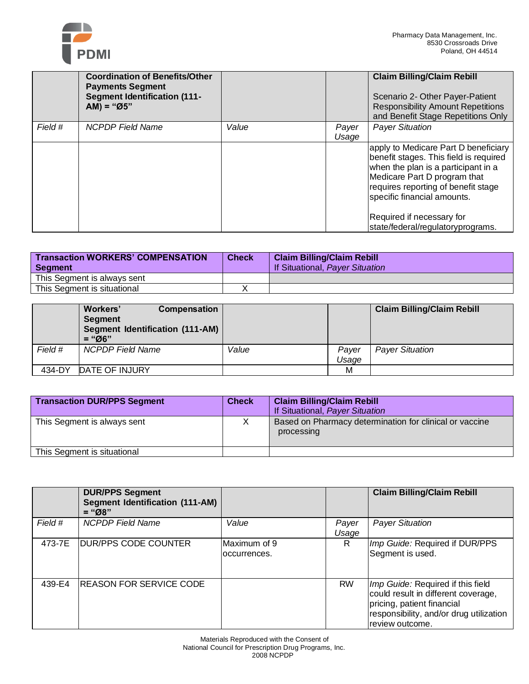

|         | <b>Coordination of Benefits/Other</b><br><b>Payments Segment</b><br><b>Segment Identification (111-</b><br>$AM) = "Ø5"$ |       |                | <b>Claim Billing/Claim Rebill</b><br>Scenario 2- Other Payer-Patient<br><b>Responsibility Amount Repetitions</b><br>and Benefit Stage Repetitions Only                                                                                                                                        |
|---------|-------------------------------------------------------------------------------------------------------------------------|-------|----------------|-----------------------------------------------------------------------------------------------------------------------------------------------------------------------------------------------------------------------------------------------------------------------------------------------|
| Field # | <b>NCPDP Field Name</b>                                                                                                 | Value | Payer<br>Usage | <b>Payer Situation</b>                                                                                                                                                                                                                                                                        |
|         |                                                                                                                         |       |                | apply to Medicare Part D beneficiary<br>benefit stages. This field is required<br>when the plan is a participant in a<br>Medicare Part D program that<br>requires reporting of benefit stage<br>specific financial amounts.<br>Required if necessary for<br>state/federal/regulatoryprograms. |

| <b>Transaction WORKERS' COMPENSATION</b><br>Segment | <b>Check</b> | <b>Claim Billing/Claim Rebill</b><br>If Situational, Payer Situation |
|-----------------------------------------------------|--------------|----------------------------------------------------------------------|
| This Segment is always sent                         |              |                                                                      |
| This Segment is situational                         |              |                                                                      |

|         | Workers'<br><b>Compensation</b><br><b>Segment</b><br><b>Segment Identification (111-AM)</b><br>$=$ "06" |       |       | <b>Claim Billing/Claim Rebill</b> |
|---------|---------------------------------------------------------------------------------------------------------|-------|-------|-----------------------------------|
| Field # | NCPDP Field Name                                                                                        | Value | Payer | <b>Payer Situation</b>            |
|         |                                                                                                         |       | Usage |                                   |
| 434-DY  | DATE OF INJURY                                                                                          |       | М     |                                   |

| <b>Transaction DUR/PPS Segment</b> | <b>Check</b> | <b>Claim Billing/Claim Rebill</b><br>If Situational, Payer Situation  |
|------------------------------------|--------------|-----------------------------------------------------------------------|
| This Segment is always sent        |              | Based on Pharmacy determination for clinical or vaccine<br>processing |
| This Segment is situational        |              |                                                                       |

|         | <b>DUR/PPS Segment</b><br><b>Segment Identification (111-AM)</b><br>$=$ "Ø8" |                               |                | <b>Claim Billing/Claim Rebill</b>                                                                                                                                    |
|---------|------------------------------------------------------------------------------|-------------------------------|----------------|----------------------------------------------------------------------------------------------------------------------------------------------------------------------|
| Field # | <b>NCPDP</b> Field Name                                                      | Value                         | Payer<br>Usage | <b>Payer Situation</b>                                                                                                                                               |
| 473-7E  | IDUR/PPS CODE COUNTER                                                        | Maximum of 9<br>loccurrences. | R              | Imp Guide: Required if DUR/PPS<br>Segment is used.                                                                                                                   |
| 439-E4  | IREASON FOR SERVICE CODE                                                     |                               | <b>RW</b>      | Imp Guide: Required if this field<br>could result in different coverage,<br>pricing, patient financial<br>responsibility, and/or drug utilization<br>review outcome. |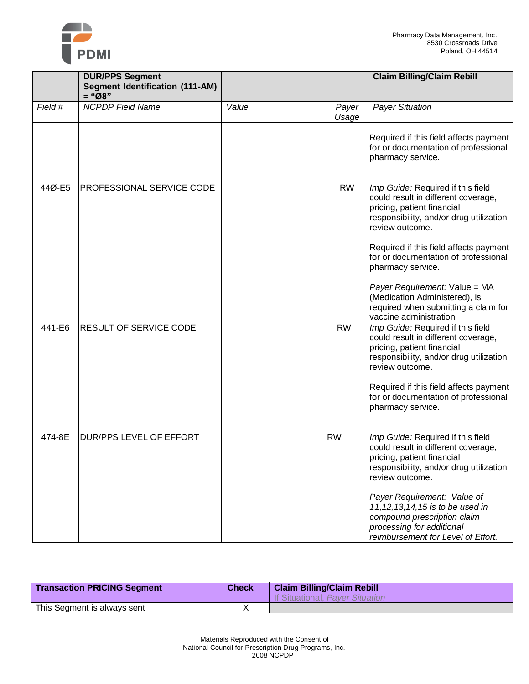

|         | <b>DUR/PPS Segment</b>                             |       |                | <b>Claim Billing/Claim Rebill</b>                                                                                                                                                                                                                                                                                                                                                     |
|---------|----------------------------------------------------|-------|----------------|---------------------------------------------------------------------------------------------------------------------------------------------------------------------------------------------------------------------------------------------------------------------------------------------------------------------------------------------------------------------------------------|
|         | <b>Segment Identification (111-AM)</b><br>$=$ "Ø8" |       |                |                                                                                                                                                                                                                                                                                                                                                                                       |
| Field # | <b>NCPDP Field Name</b>                            | Value | Payer<br>Usage | <b>Payer Situation</b>                                                                                                                                                                                                                                                                                                                                                                |
|         |                                                    |       |                | Required if this field affects payment<br>for or documentation of professional<br>pharmacy service.                                                                                                                                                                                                                                                                                   |
| 44Ø-E5  | <b>PROFESSIONAL SERVICE CODE</b>                   |       | <b>RW</b>      | Imp Guide: Required if this field<br>could result in different coverage,<br>pricing, patient financial<br>responsibility, and/or drug utilization<br>review outcome.<br>Required if this field affects payment<br>for or documentation of professional<br>pharmacy service.<br>Payer Requirement: Value = MA<br>(Medication Administered), is<br>required when submitting a claim for |
| 441-E6  | <b>RESULT OF SERVICE CODE</b>                      |       | <b>RW</b>      | vaccine administration<br>Imp Guide: Required if this field<br>could result in different coverage,<br>pricing, patient financial<br>responsibility, and/or drug utilization<br>review outcome.<br>Required if this field affects payment<br>for or documentation of professional<br>pharmacy service.                                                                                 |
| 474-8E  | DUR/PPS LEVEL OF EFFORT                            |       | <b>RW</b>      | Imp Guide: Required if this field<br>could result in different coverage,<br>pricing, patient financial<br>responsibility, and/or drug utilization<br>review outcome.<br>Payer Requirement: Value of<br>11, 12, 13, 14, 15 is to be used in<br>compound prescription claim<br>processing for additional<br>reimbursement for Level of Effort.                                          |

| <b>Transaction PRICING Segment</b> | <b>Check</b> | <b>Claim Billing/Claim Rebill</b><br>If Situational, Payer Situation |
|------------------------------------|--------------|----------------------------------------------------------------------|
| This Segment is always sent        |              |                                                                      |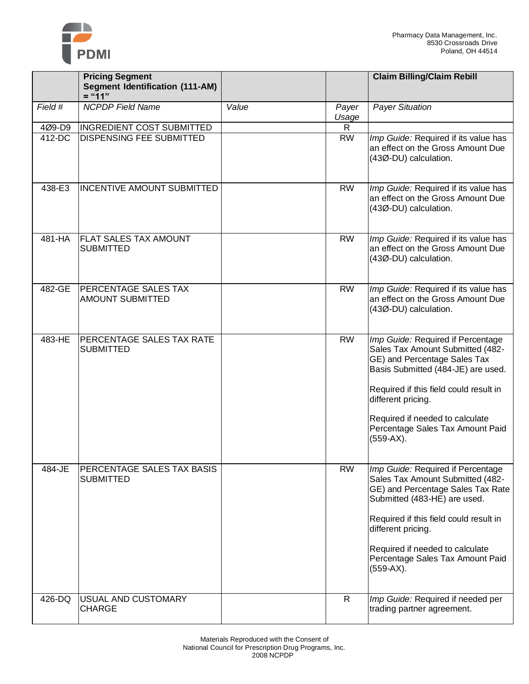

|         | <b>Pricing Segment</b><br><b>Segment Identification (111-AM)</b><br>$=$ "11" |       |                | <b>Claim Billing/Claim Rebill</b>                                                                                                                                                                                                                                                                 |
|---------|------------------------------------------------------------------------------|-------|----------------|---------------------------------------------------------------------------------------------------------------------------------------------------------------------------------------------------------------------------------------------------------------------------------------------------|
| Field # | <b>NCPDP Field Name</b>                                                      | Value | Payer<br>Usage | <b>Payer Situation</b>                                                                                                                                                                                                                                                                            |
| 4Ø9-D9  | <b>INGREDIENT COST SUBMITTED</b>                                             |       | R              |                                                                                                                                                                                                                                                                                                   |
| 412-DC  | <b>DISPENSING FEE SUBMITTED</b>                                              |       | <b>RW</b>      | Imp Guide: Required if its value has<br>an effect on the Gross Amount Due<br>(43Ø-DU) calculation.                                                                                                                                                                                                |
| 438-E3  | <b>INCENTIVE AMOUNT SUBMITTED</b>                                            |       | <b>RW</b>      | Imp Guide: Required if its value has<br>an effect on the Gross Amount Due<br>(43Ø-DU) calculation.                                                                                                                                                                                                |
| 481-HA  | <b>FLAT SALES TAX AMOUNT</b><br><b>SUBMITTED</b>                             |       | <b>RW</b>      | Imp Guide: Required if its value has<br>an effect on the Gross Amount Due<br>(43Ø-DU) calculation.                                                                                                                                                                                                |
| 482-GE  | <b>PERCENTAGE SALES TAX</b><br><b>AMOUNT SUBMITTED</b>                       |       | <b>RW</b>      | Imp Guide: Required if its value has<br>an effect on the Gross Amount Due<br>(43Ø-DU) calculation.                                                                                                                                                                                                |
| 483-HE  | PERCENTAGE SALES TAX RATE<br><b>SUBMITTED</b>                                |       | <b>RW</b>      | Imp Guide: Required if Percentage<br>Sales Tax Amount Submitted (482-<br>GE) and Percentage Sales Tax<br>Basis Submitted (484-JE) are used.<br>Required if this field could result in<br>different pricing.<br>Required if needed to calculate<br>Percentage Sales Tax Amount Paid<br>$(559-AX).$ |
| 484-JE  | PERCENTAGE SALES TAX BASIS<br><b>SUBMITTED</b>                               |       | <b>RW</b>      | Imp Guide: Required if Percentage<br>Sales Tax Amount Submitted (482-<br>GE) and Percentage Sales Tax Rate<br>Submitted (483-HE) are used.<br>Required if this field could result in<br>different pricing.<br>Required if needed to calculate<br>Percentage Sales Tax Amount Paid<br>(559-AX).    |
| 426-DQ  | USUAL AND CUSTOMARY<br><b>CHARGE</b>                                         |       | $\mathsf{R}$   | Imp Guide: Required if needed per<br>trading partner agreement.                                                                                                                                                                                                                                   |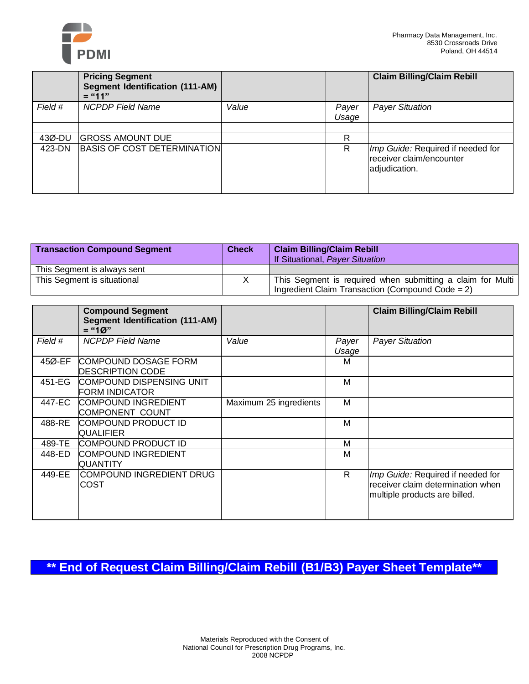

|         | <b>Pricing Segment</b><br>Segment Identification (111-AM)<br>$=$ "11" |       |                | <b>Claim Billing/Claim Rebill</b>                                              |
|---------|-----------------------------------------------------------------------|-------|----------------|--------------------------------------------------------------------------------|
| Field # | <b>NCPDP</b> Field Name                                               | Value | Payer<br>Usage | <b>Payer Situation</b>                                                         |
|         |                                                                       |       |                |                                                                                |
| 43Ø-DU  | <b>GROSS AMOUNT DUE</b>                                               |       | R              |                                                                                |
| 423-DN  | <b>BASIS OF COST DETERMINATION</b>                                    |       | R              | Imp Guide: Required if needed for<br>receiver claim/encounter<br>adjudication. |

| <b>Transaction Compound Segment</b> | <b>Check</b> | <b>Claim Billing/Claim Rebill</b><br>If Situational, Payer Situation                                              |
|-------------------------------------|--------------|-------------------------------------------------------------------------------------------------------------------|
| This Segment is always sent         |              |                                                                                                                   |
| This Segment is situational         |              | This Segment is required when submitting a claim for Multi<br>Ingredient Claim Transaction (Compound Code = $2$ ) |

|         | <b>Compound Segment</b><br><b>Segment Identification (111-AM)</b><br>$=$ "10" |                        |                | <b>Claim Billing/Claim Rebill</b>                                                                       |
|---------|-------------------------------------------------------------------------------|------------------------|----------------|---------------------------------------------------------------------------------------------------------|
| Field # | <b>NCPDP Field Name</b>                                                       | Value                  | Payer<br>Usage | <b>Payer Situation</b>                                                                                  |
| 45Ø-EF  | COMPOUND DOSAGE FORM<br><b>DESCRIPTION CODE</b>                               |                        | м              |                                                                                                         |
| 451-EG  | COMPOUND DISPENSING UNIT<br><b>FORM INDICATOR</b>                             |                        | м              |                                                                                                         |
| 447-EC  | <b>COMPOUND INGREDIENT</b><br><b>COMPONENT COUNT</b>                          | Maximum 25 ingredients | м              |                                                                                                         |
| 488-RE  | COMPOUND PRODUCT ID<br><b>QUALIFIER</b>                                       |                        | м              |                                                                                                         |
| 489-TE  | COMPOUND PRODUCT ID                                                           |                        | м              |                                                                                                         |
| 448-ED  | COMPOUND INGREDIENT<br><b>QUANTITY</b>                                        |                        | м              |                                                                                                         |
| 449-EE  | COMPOUND INGREDIENT DRUG<br>COST                                              |                        | R.             | Imp Guide: Required if needed for<br>receiver claim determination when<br>multiple products are billed. |

**\*\* End of Request Claim Billing/Claim Rebill (B1/B3) Payer Sheet Template\*\***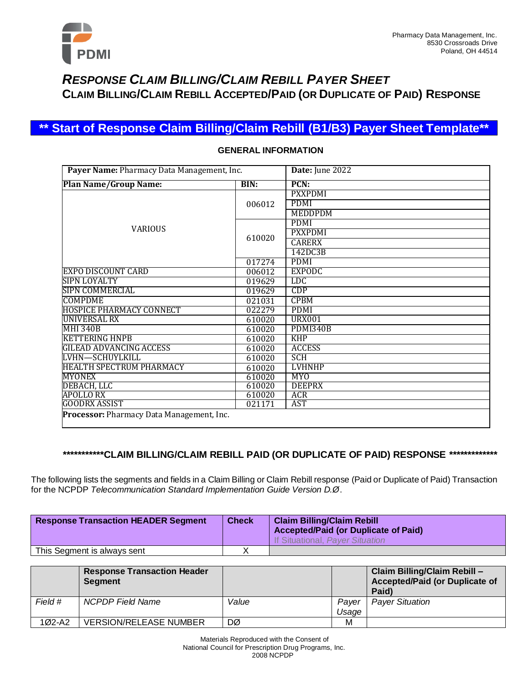

## *RESPONSE CLAIM BILLING/CLAIM REBILL PAYER SHEET* **CLAIM BILLING/CLAIM REBILL ACCEPTED/PAID (OR DUPLICATE OF PAID) RESPONSE**

## **\*\* Start of Response Claim Billing/Claim Rebill (B1/B3) Payer Sheet Template\*\***

| Payer Name: Pharmacy Data Management, Inc. |        | Date: June 2022 |
|--------------------------------------------|--------|-----------------|
| <b>Plan Name/Group Name:</b>               | BIN:   | PCN:            |
|                                            |        | <b>PXXPDMI</b>  |
|                                            | 006012 | <b>PDMI</b>     |
|                                            |        | <b>MEDDPDM</b>  |
|                                            |        | <b>PDMI</b>     |
| <b>VARIOUS</b>                             |        | <b>PXXPDMI</b>  |
|                                            | 610020 | <b>CARERX</b>   |
|                                            |        | 142DC3B         |
|                                            | 017274 | <b>PDMI</b>     |
| <b>EXPO DISCOUNT CARD</b>                  | 006012 | <b>EXPODC</b>   |
| SIPN LOYALTY                               | 019629 | <b>LDC</b>      |
| <b>SIPN COMMERCIAL</b>                     | 019629 | <b>CDP</b>      |
| <b>COMPDME</b>                             | 021031 | <b>CPBM</b>     |
| <b>HOSPICE PHARMACY CONNECT</b>            | 022279 | <b>PDMI</b>     |
| UNIVERSAL RX                               | 610020 | <b>URX001</b>   |
| <b>MHI 340B</b>                            | 610020 | <b>PDMI340B</b> |
| <b>KETTERING HNPB</b>                      | 610020 | <b>KHP</b>      |
| <b>GILEAD ADVANCING ACCESS</b>             | 610020 | <b>ACCESS</b>   |
| LVHN-SCHUYLKILL                            | 610020 | <b>SCH</b>      |
| <b>HEALTH SPECTRUM PHARMACY</b>            | 610020 | <b>LVHNHP</b>   |
| <b>MYONEX</b>                              | 610020 | <b>MYO</b>      |
| DEBACH, LLC                                | 610020 | <b>DEEPRX</b>   |
| <b>APOLLO RX</b>                           | 610020 | <b>ACR</b>      |
| <b>GOODRX ASSIST</b>                       | 021171 | AST             |
| Processor: Pharmacy Data Management, Inc.  |        |                 |

### **GENERAL INFORMATION**

### **\*\*\*\*\*\*\*\*\*\*\*CLAIM BILLING/CLAIM REBILL PAID (OR DUPLICATE OF PAID) RESPONSE \*\*\*\*\*\*\*\*\*\*\*\*\***

The following lists the segments and fields in a Claim Billing or Claim Rebill response (Paid or Duplicate of Paid) Transaction for the NCPDP *Telecommunication Standard Implementation Guide Version D.Ø*.

| <b>Response Transaction HEADER Segment</b> | <b>Check</b> | <b>Claim Billing/Claim Rebill</b><br><b>Accepted/Paid (or Duplicate of Paid)</b><br>If Situational, Payer Situation |
|--------------------------------------------|--------------|---------------------------------------------------------------------------------------------------------------------|
| This Segment is always sent                |              |                                                                                                                     |

|          | <b>Response Transaction Header</b><br>Segment |       |                | Claim Billing/Claim Rebill -<br>Accepted/Paid (or Duplicate of<br>Paid) |
|----------|-----------------------------------------------|-------|----------------|-------------------------------------------------------------------------|
| Field #  | NCPDP Field Name                              | Value | Paver<br>Usage | <b>Payer Situation</b>                                                  |
| $102-A2$ | <b>VERSION/RELEASE NUMBER</b>                 | DØ    | М              |                                                                         |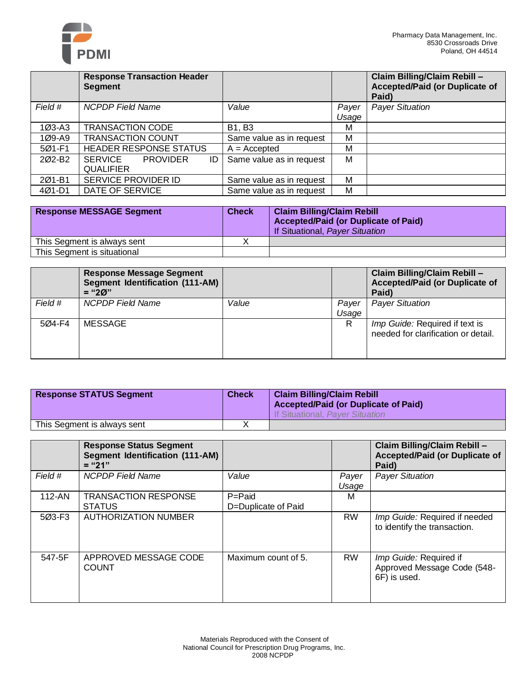

|                    | <b>Response Transaction Header</b><br><b>Segment</b> |                          |                | Claim Billing/Claim Rebill -<br><b>Accepted/Paid (or Duplicate of</b><br>Paid) |
|--------------------|------------------------------------------------------|--------------------------|----------------|--------------------------------------------------------------------------------|
| Field #            | <b>NCPDP Field Name</b>                              | Value                    | Payer<br>Usage | <b>Payer Situation</b>                                                         |
| $103 - A3$         | <b>TRANSACTION CODE</b>                              | <b>B1, B3</b>            | М              |                                                                                |
| 1Ø9-A9             | <b>TRANSACTION COUNT</b>                             | Same value as in request | M              |                                                                                |
| 5Ø1-F1             | HEADER RESPONSE STATUS                               | $A = Accepted$           | М              |                                                                                |
| 202-B <sub>2</sub> | SERVICE<br><b>PROVIDER</b><br>ID<br><b>QUALIFIER</b> | Same value as in request | М              |                                                                                |
| 201-B1             | SERVICE PROVIDER ID                                  | Same value as in request | M              |                                                                                |
| $401 - D1$         | DATE OF SERVICE                                      | Same value as in request | M              |                                                                                |

| <b>Response MESSAGE Segment</b> | <b>Check</b> | <b>Claim Billing/Claim Rebill</b><br><b>Accepted/Paid (or Duplicate of Paid)</b><br>If Situational, Payer Situation |
|---------------------------------|--------------|---------------------------------------------------------------------------------------------------------------------|
| This Segment is always sent     |              |                                                                                                                     |
| This Segment is situational     |              |                                                                                                                     |

|         | Response Message Segment<br>Segment Identification (111-AM)<br>$=$ "20" |       |                | Claim Billing/Claim Rebill -<br><b>Accepted/Paid (or Duplicate of</b><br>Paid) |
|---------|-------------------------------------------------------------------------|-------|----------------|--------------------------------------------------------------------------------|
| Field # | NCPDP Field Name                                                        | Value | Payer<br>Usage | <b>Payer Situation</b>                                                         |
| 504-F4  | <b>MESSAGE</b>                                                          |       | R              | Imp Guide: Required if text is<br>needed for clarification or detail.          |

| <b>Response STATUS Segment</b> | <b>Check</b> | <b>Claim Billing/Claim Rebill</b><br><b>Accepted/Paid (or Duplicate of Paid)</b><br>If Situational, Payer Situation |
|--------------------------------|--------------|---------------------------------------------------------------------------------------------------------------------|
| This Segment is always sent    |              |                                                                                                                     |

|         | <b>Response Status Segment</b><br><b>Segment Identification (111-AM)</b><br>$=$ "21" |                                   |                | Claim Billing/Claim Rebill -<br><b>Accepted/Paid (or Duplicate of</b><br>Paid) |
|---------|--------------------------------------------------------------------------------------|-----------------------------------|----------------|--------------------------------------------------------------------------------|
| Field # | <b>NCPDP Field Name</b>                                                              | Value                             | Payer<br>Usage | <b>Payer Situation</b>                                                         |
| 112-AN  | <b>TRANSACTION RESPONSE</b><br><b>STATUS</b>                                         | $P =$ Paid<br>D=Duplicate of Paid | м              |                                                                                |
| 5Ø3-F3  | <b>AUTHORIZATION NUMBER</b>                                                          |                                   | <b>RW</b>      | Imp Guide: Required if needed<br>to identify the transaction.                  |
| 547-5F  | APPROVED MESSAGE CODE<br><b>COUNT</b>                                                | Maximum count of 5.               | <b>RW</b>      | Imp Guide: Required if<br>Approved Message Code (548-<br>6F) is used.          |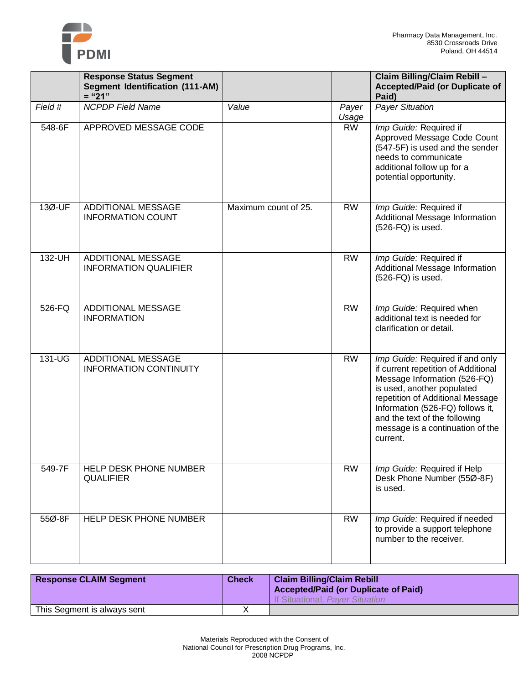

|         | <b>Response Status Segment</b><br><b>Segment Identification (111-AM)</b><br>$=" 21"$ |                      |                | Claim Billing/Claim Rebill -<br><b>Accepted/Paid (or Duplicate of</b><br>Paid)                                                                                                                                                                                                                |
|---------|--------------------------------------------------------------------------------------|----------------------|----------------|-----------------------------------------------------------------------------------------------------------------------------------------------------------------------------------------------------------------------------------------------------------------------------------------------|
| Field # | <b>NCPDP Field Name</b>                                                              | Value                | Payer<br>Usage | <b>Payer Situation</b>                                                                                                                                                                                                                                                                        |
| 548-6F  | APPROVED MESSAGE CODE                                                                |                      | <b>RW</b>      | Imp Guide: Required if<br>Approved Message Code Count<br>(547-5F) is used and the sender<br>needs to communicate<br>additional follow up for a<br>potential opportunity.                                                                                                                      |
| 13Ø-UF  | <b>ADDITIONAL MESSAGE</b><br><b>INFORMATION COUNT</b>                                | Maximum count of 25. | <b>RW</b>      | Imp Guide: Required if<br>Additional Message Information<br>$(526-FQ)$ is used.                                                                                                                                                                                                               |
| 132-UH  | <b>ADDITIONAL MESSAGE</b><br><b>INFORMATION QUALIFIER</b>                            |                      | <b>RW</b>      | Imp Guide: Required if<br>Additional Message Information<br>$(526-FQ)$ is used.                                                                                                                                                                                                               |
| 526-FQ  | <b>ADDITIONAL MESSAGE</b><br><b>INFORMATION</b>                                      |                      | <b>RW</b>      | Imp Guide: Required when<br>additional text is needed for<br>clarification or detail.                                                                                                                                                                                                         |
| 131-UG  | <b>ADDITIONAL MESSAGE</b><br><b>INFORMATION CONTINUITY</b>                           |                      | <b>RW</b>      | Imp Guide: Required if and only<br>if current repetition of Additional<br>Message Information (526-FQ)<br>is used, another populated<br>repetition of Additional Message<br>Information (526-FQ) follows it,<br>and the text of the following<br>message is a continuation of the<br>current. |
| 549-7F  | HELP DESK PHONE NUMBER<br><b>QUALIFIER</b>                                           |                      | <b>RW</b>      | Imp Guide: Required if Help<br>Desk Phone Number (55Ø-8F)<br>is used.                                                                                                                                                                                                                         |
| 55Ø-8F  | HELP DESK PHONE NUMBER                                                               |                      | <b>RW</b>      | Imp Guide: Required if needed<br>to provide a support telephone<br>number to the receiver.                                                                                                                                                                                                    |

| <b>Response CLAIM Segment</b> | <b>Check</b> | <b>Claim Billing/Claim Rebill</b><br><b>Accepted/Paid (or Duplicate of Paid)</b><br>If Situational, Payer Situation |
|-------------------------------|--------------|---------------------------------------------------------------------------------------------------------------------|
| This Segment is always sent   |              |                                                                                                                     |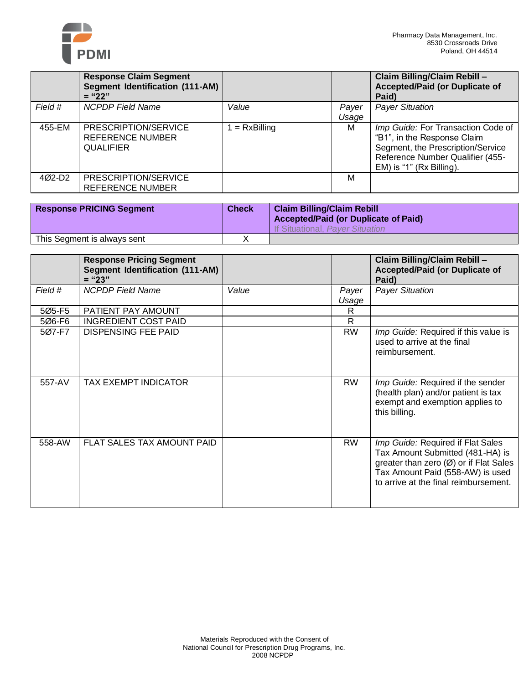

|         | <b>Response Claim Segment</b><br>Segment Identification (111-AM)<br>$=$ "22" |               |       | Claim Billing/Claim Rebill -<br><b>Accepted/Paid (or Duplicate of</b><br>Paid)                                                                                         |
|---------|------------------------------------------------------------------------------|---------------|-------|------------------------------------------------------------------------------------------------------------------------------------------------------------------------|
| Field # | <b>NCPDP</b> Field Name                                                      | Value         | Payer | <b>Payer Situation</b>                                                                                                                                                 |
|         |                                                                              |               | Usage |                                                                                                                                                                        |
| 455-EM  | PRESCRIPTION/SERVICE<br><b>REFERENCE NUMBER</b><br><b>QUALIFIER</b>          | $= RxBilling$ | м     | Imp Guide: For Transaction Code of<br>"B1", in the Response Claim<br>Segment, the Prescription/Service<br>Reference Number Qualifier (455-<br>EM) is "1" (Rx Billing). |
| 4Ø2-D2  | PRESCRIPTION/SERVICE<br>REFERENCE NUMBER                                     |               | м     |                                                                                                                                                                        |

| <b>Response PRICING Segment</b> | <b>Check</b> | <b>Claim Billing/Claim Rebill</b><br><b>Accepted/Paid (or Duplicate of Paid)</b><br>If Situational, Payer Situation |
|---------------------------------|--------------|---------------------------------------------------------------------------------------------------------------------|
| This Segment is always sent     |              |                                                                                                                     |

|         | <b>Response Pricing Segment</b><br><b>Segment Identification (111-AM)</b><br>$=$ "23" |       |                | Claim Billing/Claim Rebill -<br><b>Accepted/Paid (or Duplicate of</b><br>Paid)                                                                                                               |
|---------|---------------------------------------------------------------------------------------|-------|----------------|----------------------------------------------------------------------------------------------------------------------------------------------------------------------------------------------|
| Field # | <b>NCPDP</b> Field Name                                                               | Value | Payer<br>Usage | <b>Payer Situation</b>                                                                                                                                                                       |
| 5Ø5-F5  | PATIENT PAY AMOUNT                                                                    |       | R              |                                                                                                                                                                                              |
| 5Ø6-F6  | <b>INGREDIENT COST PAID</b>                                                           |       | $\mathsf{R}$   |                                                                                                                                                                                              |
| 507-F7  | <b>DISPENSING FEE PAID</b>                                                            |       | <b>RW</b>      | Imp Guide: Required if this value is<br>used to arrive at the final<br>reimbursement.                                                                                                        |
| 557-AV  | TAX EXEMPT INDICATOR                                                                  |       | <b>RW</b>      | Imp Guide: Required if the sender<br>(health plan) and/or patient is tax<br>exempt and exemption applies to<br>this billing.                                                                 |
| 558-AW  | FLAT SALES TAX AMOUNT PAID                                                            |       | <b>RW</b>      | Imp Guide: Required if Flat Sales<br>Tax Amount Submitted (481-HA) is<br>greater than zero (Ø) or if Flat Sales<br>Tax Amount Paid (558-AW) is used<br>to arrive at the final reimbursement. |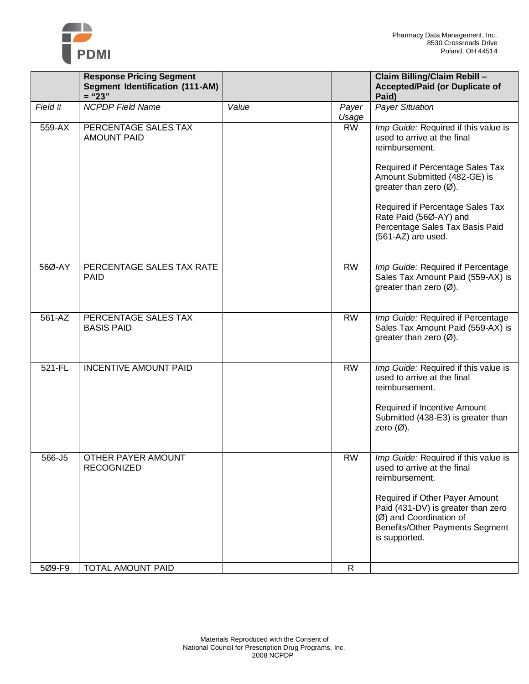

|         | <b>Response Pricing Segment</b><br><b>Segment Identification (111-AM)</b><br>$=$ "23" |       |                | Claim Billing/Claim Rebill -<br><b>Accepted/Paid (or Duplicate of</b><br>Paid)                                                                             |
|---------|---------------------------------------------------------------------------------------|-------|----------------|------------------------------------------------------------------------------------------------------------------------------------------------------------|
| Field # | <b>NCPDP Field Name</b>                                                               | Value | Payer<br>Usage | <b>Payer Situation</b>                                                                                                                                     |
| 559-AX  | PERCENTAGE SALES TAX<br><b>AMOUNT PAID</b>                                            |       | <b>RW</b>      | Imp Guide: Required if this value is<br>used to arrive at the final<br>reimbursement.<br>Required if Percentage Sales Tax                                  |
|         |                                                                                       |       |                | Amount Submitted (482-GE) is<br>greater than zero $(\emptyset)$ .                                                                                          |
|         |                                                                                       |       |                | Required if Percentage Sales Tax<br>Rate Paid (56Ø-AY) and<br>Percentage Sales Tax Basis Paid<br>(561-AZ) are used.                                        |
|         |                                                                                       |       |                |                                                                                                                                                            |
| 56Ø-AY  | PERCENTAGE SALES TAX RATE<br><b>PAID</b>                                              |       | <b>RW</b>      | Imp Guide: Required if Percentage<br>Sales Tax Amount Paid (559-AX) is<br>greater than zero $(\emptyset)$ .                                                |
| 561-AZ  | PERCENTAGE SALES TAX<br><b>BASIS PAID</b>                                             |       | <b>RW</b>      | Imp Guide: Required if Percentage<br>Sales Tax Amount Paid (559-AX) is<br>greater than zero $(\emptyset)$ .                                                |
| 521-FL  | <b>INCENTIVE AMOUNT PAID</b>                                                          |       | <b>RW</b>      | Imp Guide: Required if this value is<br>used to arrive at the final<br>reimbursement.                                                                      |
|         |                                                                                       |       |                | Required if Incentive Amount<br>Submitted (438-E3) is greater than<br>zero $(\emptyset)$ .                                                                 |
| 566-J5  | OTHER PAYER AMOUNT<br><b>RECOGNIZED</b>                                               |       | <b>RW</b>      | Imp Guide: Required if this value is<br>used to arrive at the final<br>reimbursement.                                                                      |
|         |                                                                                       |       |                | Required if Other Payer Amount<br>Paid (431-DV) is greater than zero<br>(Ø) and Coordination of<br><b>Benefits/Other Payments Segment</b><br>is supported. |
| 5Ø9-F9  | TOTAL AMOUNT PAID                                                                     |       | $\mathsf{R}$   |                                                                                                                                                            |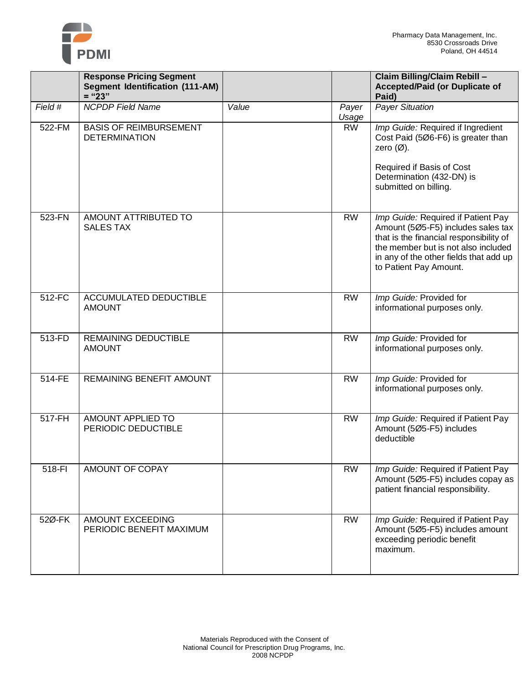

|         | <b>Response Pricing Segment</b><br><b>Segment Identification (111-AM)</b><br>$=" 23"$ |       |                | Claim Billing/Claim Rebill -<br><b>Accepted/Paid (or Duplicate of</b><br>Paid)                                                                                                                                                 |
|---------|---------------------------------------------------------------------------------------|-------|----------------|--------------------------------------------------------------------------------------------------------------------------------------------------------------------------------------------------------------------------------|
| Field # | <b>NCPDP Field Name</b>                                                               | Value | Payer<br>Usage | <b>Payer Situation</b>                                                                                                                                                                                                         |
| 522-FM  | <b>BASIS OF REIMBURSEMENT</b><br><b>DETERMINATION</b>                                 |       | <b>RW</b>      | Imp Guide: Required if Ingredient<br>Cost Paid (506-F6) is greater than<br>zero $(\emptyset)$ .<br>Required if Basis of Cost<br>Determination (432-DN) is<br>submitted on billing.                                             |
| 523-FN  | AMOUNT ATTRIBUTED TO<br><b>SALES TAX</b>                                              |       | <b>RW</b>      | Imp Guide: Required if Patient Pay<br>Amount (505-F5) includes sales tax<br>that is the financial responsibility of<br>the member but is not also included<br>in any of the other fields that add up<br>to Patient Pay Amount. |
| 512-FC  | ACCUMULATED DEDUCTIBLE<br><b>AMOUNT</b>                                               |       | <b>RW</b>      | Imp Guide: Provided for<br>informational purposes only.                                                                                                                                                                        |
| 513-FD  | <b>REMAINING DEDUCTIBLE</b><br><b>AMOUNT</b>                                          |       | <b>RW</b>      | Imp Guide: Provided for<br>informational purposes only.                                                                                                                                                                        |
| 514-FE  | REMAINING BENEFIT AMOUNT                                                              |       | <b>RW</b>      | Imp Guide: Provided for<br>informational purposes only.                                                                                                                                                                        |
| 517-FH  | AMOUNT APPLIED TO<br>PERIODIC DEDUCTIBLE                                              |       | <b>RW</b>      | Imp Guide: Required if Patient Pay<br>Amount (5Ø5-F5) includes<br>deductible                                                                                                                                                   |
| 518-FI  | AMOUNT OF COPAY                                                                       |       | <b>RW</b>      | Imp Guide: Required if Patient Pay<br>Amount (505-F5) includes copay as<br>patient financial responsibility.                                                                                                                   |
| 52Ø-FK  | AMOUNT EXCEEDING<br>PERIODIC BENEFIT MAXIMUM                                          |       | <b>RW</b>      | Imp Guide: Required if Patient Pay<br>Amount (505-F5) includes amount<br>exceeding periodic benefit<br>maximum.                                                                                                                |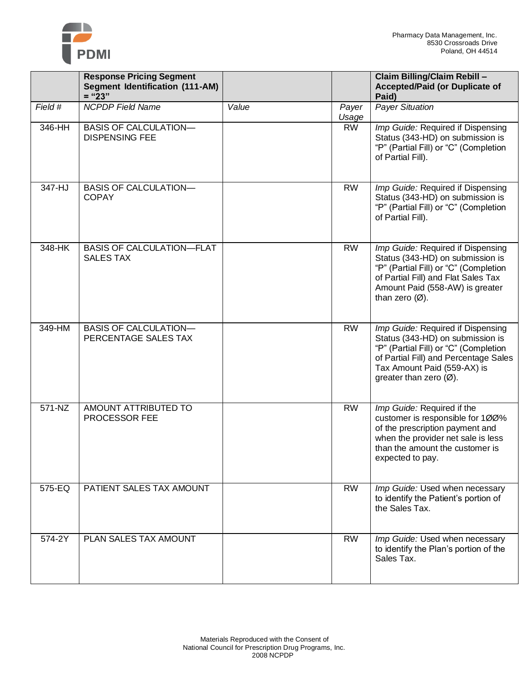

|         | <b>Response Pricing Segment</b><br><b>Segment Identification (111-AM)</b><br>$=$ "23" |       |                | Claim Billing/Claim Rebill -<br><b>Accepted/Paid (or Duplicate of</b><br>Paid)                                                                                                                                              |
|---------|---------------------------------------------------------------------------------------|-------|----------------|-----------------------------------------------------------------------------------------------------------------------------------------------------------------------------------------------------------------------------|
| Field # | <b>NCPDP</b> Field Name                                                               | Value | Payer<br>Usage | <b>Payer Situation</b>                                                                                                                                                                                                      |
| 346-HH  | <b>BASIS OF CALCULATION-</b><br><b>DISPENSING FEE</b>                                 |       | <b>RW</b>      | Imp Guide: Required if Dispensing<br>Status (343-HD) on submission is<br>"P" (Partial Fill) or "C" (Completion<br>of Partial Fill).                                                                                         |
| 347-HJ  | <b>BASIS OF CALCULATION-</b><br><b>COPAY</b>                                          |       | <b>RW</b>      | Imp Guide: Required if Dispensing<br>Status (343-HD) on submission is<br>"P" (Partial Fill) or "C" (Completion<br>of Partial Fill).                                                                                         |
| 348-HK  | <b>BASIS OF CALCULATION-FLAT</b><br><b>SALES TAX</b>                                  |       | <b>RW</b>      | Imp Guide: Required if Dispensing<br>Status (343-HD) on submission is<br>"P" (Partial Fill) or "C" (Completion<br>of Partial Fill) and Flat Sales Tax<br>Amount Paid (558-AW) is greater<br>than zero $(\emptyset)$ .       |
| 349-HM  | <b>BASIS OF CALCULATION-</b><br>PERCENTAGE SALES TAX                                  |       | <b>RW</b>      | Imp Guide: Required if Dispensing<br>Status (343-HD) on submission is<br>"P" (Partial Fill) or "C" (Completion<br>of Partial Fill) and Percentage Sales<br>Tax Amount Paid (559-AX) is<br>greater than zero $(\emptyset)$ . |
| 571-NZ  | AMOUNT ATTRIBUTED TO<br>PROCESSOR FEE                                                 |       | <b>RW</b>      | Imp Guide: Required if the<br>customer is responsible for 100%<br>of the prescription payment and<br>when the provider net sale is less<br>than the amount the customer is<br>expected to pay.                              |
| 575-EQ  | PATIENT SALES TAX AMOUNT                                                              |       | <b>RW</b>      | Imp Guide: Used when necessary<br>to identify the Patient's portion of<br>the Sales Tax.                                                                                                                                    |
| 574-2Y  | PLAN SALES TAX AMOUNT                                                                 |       | <b>RW</b>      | Imp Guide: Used when necessary<br>to identify the Plan's portion of the<br>Sales Tax.                                                                                                                                       |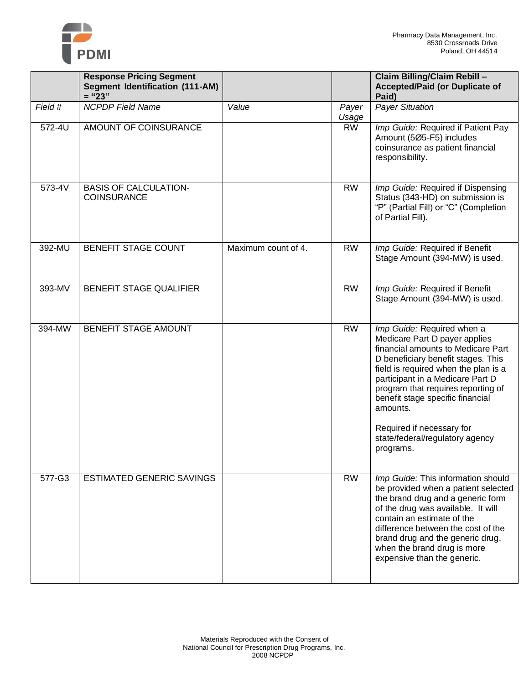

|         | <b>Response Pricing Segment</b><br><b>Segment Identification (111-AM)</b><br>$=$ "23" |                     |                | Claim Billing/Claim Rebill -<br><b>Accepted/Paid (or Duplicate of</b><br>Paid)                                                                                                                                                                                                                                                                                                         |
|---------|---------------------------------------------------------------------------------------|---------------------|----------------|----------------------------------------------------------------------------------------------------------------------------------------------------------------------------------------------------------------------------------------------------------------------------------------------------------------------------------------------------------------------------------------|
| Field # | <b>NCPDP Field Name</b>                                                               | Value               | Payer<br>Usage | <b>Payer Situation</b>                                                                                                                                                                                                                                                                                                                                                                 |
| 572-4U  | AMOUNT OF COINSURANCE                                                                 |                     | <b>RW</b>      | Imp Guide: Required if Patient Pay<br>Amount (5Ø5-F5) includes<br>coinsurance as patient financial<br>responsibility.                                                                                                                                                                                                                                                                  |
| 573-4V  | <b>BASIS OF CALCULATION-</b><br><b>COINSURANCE</b>                                    |                     | <b>RW</b>      | Imp Guide: Required if Dispensing<br>Status (343-HD) on submission is<br>"P" (Partial Fill) or "C" (Completion<br>of Partial Fill).                                                                                                                                                                                                                                                    |
| 392-MU  | BENEFIT STAGE COUNT                                                                   | Maximum count of 4. | <b>RW</b>      | Imp Guide: Required if Benefit<br>Stage Amount (394-MW) is used.                                                                                                                                                                                                                                                                                                                       |
| 393-MV  | BENEFIT STAGE QUALIFIER                                                               |                     | <b>RW</b>      | Imp Guide: Required if Benefit<br>Stage Amount (394-MW) is used.                                                                                                                                                                                                                                                                                                                       |
| 394-MW  | BENEFIT STAGE AMOUNT                                                                  |                     | <b>RW</b>      | Imp Guide: Required when a<br>Medicare Part D payer applies<br>financial amounts to Medicare Part<br>D beneficiary benefit stages. This<br>field is required when the plan is a<br>participant in a Medicare Part D<br>program that requires reporting of<br>benefit stage specific financial<br>amounts.<br>Required if necessary for<br>state/federal/regulatory agency<br>programs. |
| 577-G3  | <b>ESTIMATED GENERIC SAVINGS</b>                                                      |                     | <b>RW</b>      | Imp Guide: This information should<br>be provided when a patient selected<br>the brand drug and a generic form<br>of the drug was available. It will<br>contain an estimate of the<br>difference between the cost of the<br>brand drug and the generic drug,<br>when the brand drug is more<br>expensive than the generic.                                                             |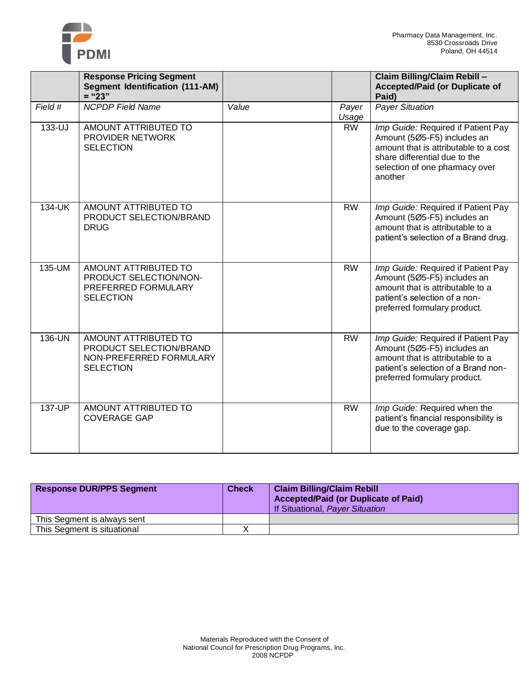

|         | <b>Response Pricing Segment</b><br><b>Segment Identification (111-AM)</b><br>$=$ "23"          |       |                | Claim Billing/Claim Rebill -<br><b>Accepted/Paid (or Duplicate of</b><br>Paid)                                                                                                           |
|---------|------------------------------------------------------------------------------------------------|-------|----------------|------------------------------------------------------------------------------------------------------------------------------------------------------------------------------------------|
| Field # | <b>NCPDP Field Name</b>                                                                        | Value | Payer<br>Usage | <b>Payer Situation</b>                                                                                                                                                                   |
| 133-UJ  | AMOUNT ATTRIBUTED TO<br><b>PROVIDER NETWORK</b><br><b>SELECTION</b>                            |       | <b>RW</b>      | Imp Guide: Required if Patient Pay<br>Amount (5Ø5-F5) includes an<br>amount that is attributable to a cost<br>share differential due to the<br>selection of one pharmacy over<br>another |
| 134-UK  | AMOUNT ATTRIBUTED TO<br>PRODUCT SELECTION/BRAND<br><b>DRUG</b>                                 |       | <b>RW</b>      | Imp Guide: Required if Patient Pay<br>Amount (5Ø5-F5) includes an<br>amount that is attributable to a<br>patient's selection of a Brand drug.                                            |
| 135-UM  | AMOUNT ATTRIBUTED TO<br>PRODUCT SELECTION/NON-<br>PREFERRED FORMULARY<br><b>SELECTION</b>      |       | <b>RW</b>      | Imp Guide: Required if Patient Pay<br>Amount (5Ø5-F5) includes an<br>amount that is attributable to a<br>patient's selection of a non-<br>preferred formulary product.                   |
| 136-UN  | AMOUNT ATTRIBUTED TO<br>PRODUCT SELECTION/BRAND<br>NON-PREFERRED FORMULARY<br><b>SELECTION</b> |       | <b>RW</b>      | Imp Guide: Required if Patient Pay<br>Amount (5Ø5-F5) includes an<br>amount that is attributable to a<br>patient's selection of a Brand non-<br>preferred formulary product.             |
| 137-UP  | AMOUNT ATTRIBUTED TO<br><b>COVERAGE GAP</b>                                                    |       | <b>RW</b>      | Imp Guide: Required when the<br>patient's financial responsibility is<br>due to the coverage gap.                                                                                        |

| <b>Response DUR/PPS Segment</b> | <b>Check</b> | <b>Claim Billing/Claim Rebill</b><br><b>Accepted/Paid (or Duplicate of Paid)</b><br>If Situational, Payer Situation |
|---------------------------------|--------------|---------------------------------------------------------------------------------------------------------------------|
| This Segment is always sent     |              |                                                                                                                     |
| This Segment is situational     |              |                                                                                                                     |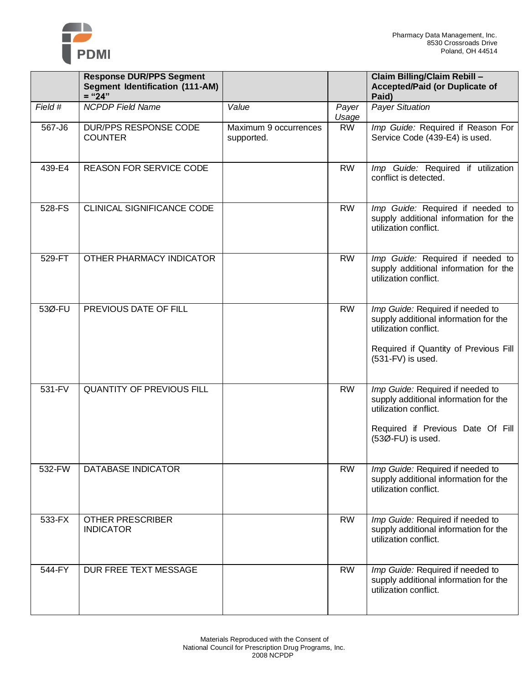

|         | <b>Response DUR/PPS Segment</b><br><b>Segment Identification (111-AM)</b><br>$=$ "24" |                                     |                | Claim Billing/Claim Rebill -<br><b>Accepted/Paid (or Duplicate of</b><br>Paid)                                                                                     |
|---------|---------------------------------------------------------------------------------------|-------------------------------------|----------------|--------------------------------------------------------------------------------------------------------------------------------------------------------------------|
| Field # | <b>NCPDP Field Name</b>                                                               | Value                               | Payer<br>Usage | <b>Payer Situation</b>                                                                                                                                             |
| 567-J6  | DUR/PPS RESPONSE CODE<br><b>COUNTER</b>                                               | Maximum 9 occurrences<br>supported. | <b>RW</b>      | Imp Guide: Required if Reason For<br>Service Code (439-E4) is used.                                                                                                |
| 439-E4  | <b>REASON FOR SERVICE CODE</b>                                                        |                                     | <b>RW</b>      | Imp Guide: Required if utilization<br>conflict is detected.                                                                                                        |
| 528-FS  | CLINICAL SIGNIFICANCE CODE                                                            |                                     | <b>RW</b>      | Imp Guide: Required if needed to<br>supply additional information for the<br>utilization conflict.                                                                 |
| 529-FT  | OTHER PHARMACY INDICATOR                                                              |                                     | <b>RW</b>      | Imp Guide: Required if needed to<br>supply additional information for the<br>utilization conflict.                                                                 |
| 53Ø-FU  | PREVIOUS DATE OF FILL                                                                 |                                     | <b>RW</b>      | Imp Guide: Required if needed to<br>supply additional information for the<br>utilization conflict.<br>Required if Quantity of Previous Fill<br>$(531-FV)$ is used. |
| 531-FV  | <b>QUANTITY OF PREVIOUS FILL</b>                                                      |                                     | <b>RW</b>      | Imp Guide: Required if needed to<br>supply additional information for the<br>utilization conflict.<br>Required if Previous Date Of Fill<br>(53Ø-FU) is used.       |
| 532-FW  | <b>DATABASE INDICATOR</b>                                                             |                                     | <b>RW</b>      | Imp Guide: Required if needed to<br>supply additional information for the<br>utilization conflict.                                                                 |
| 533-FX  | <b>OTHER PRESCRIBER</b><br><b>INDICATOR</b>                                           |                                     | <b>RW</b>      | Imp Guide: Required if needed to<br>supply additional information for the<br>utilization conflict.                                                                 |
| 544-FY  | DUR FREE TEXT MESSAGE                                                                 |                                     | <b>RW</b>      | Imp Guide: Required if needed to<br>supply additional information for the<br>utilization conflict.                                                                 |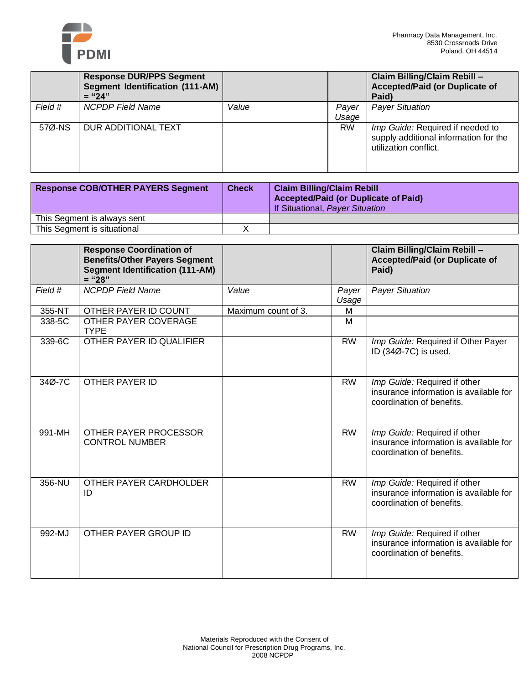

|         | <b>Response DUR/PPS Segment</b><br>Segment Identification (111-AM)<br>$=$ "24" |       |                | Claim Billing/Claim Rebill -<br><b>Accepted/Paid (or Duplicate of</b><br>Paid)                     |
|---------|--------------------------------------------------------------------------------|-------|----------------|----------------------------------------------------------------------------------------------------|
| Field # | <b>NCPDP</b> Field Name                                                        | Value | Payer<br>Usage | <b>Payer Situation</b>                                                                             |
| 57Ø-NS  | DUR ADDITIONAL TEXT                                                            |       | <b>RW</b>      | Imp Guide: Required if needed to<br>supply additional information for the<br>utilization conflict. |

| <b>Response COB/OTHER PAYERS Segment</b> | <b>Check</b> | <b>Claim Billing/Claim Rebill</b><br><b>Accepted/Paid (or Duplicate of Paid)</b><br>If Situational, Payer Situation |
|------------------------------------------|--------------|---------------------------------------------------------------------------------------------------------------------|
| This Segment is always sent              |              |                                                                                                                     |
| This Segment is situational              |              |                                                                                                                     |

|         | <b>Response Coordination of</b><br><b>Benefits/Other Payers Segment</b><br><b>Segment Identification (111-AM)</b><br>$=$ "28" |                     |                | Claim Billing/Claim Rebill -<br><b>Accepted/Paid (or Duplicate of</b><br>Paid)                      |
|---------|-------------------------------------------------------------------------------------------------------------------------------|---------------------|----------------|-----------------------------------------------------------------------------------------------------|
| Field # | <b>NCPDP</b> Field Name                                                                                                       | Value               | Payer<br>Usage | <b>Payer Situation</b>                                                                              |
| 355-NT  | OTHER PAYER ID COUNT                                                                                                          | Maximum count of 3. | м              |                                                                                                     |
| 338-5C  | OTHER PAYER COVERAGE<br><b>TYPE</b>                                                                                           |                     | M              |                                                                                                     |
| 339-6C  | OTHER PAYER ID QUALIFIER                                                                                                      |                     | <b>RW</b>      | Imp Guide: Required if Other Payer<br>ID (34Ø-7C) is used.                                          |
| 34Ø-7C  | <b>OTHER PAYER ID</b>                                                                                                         |                     | <b>RW</b>      | Imp Guide: Required if other<br>insurance information is available for<br>coordination of benefits. |
| 991-MH  | OTHER PAYER PROCESSOR<br><b>CONTROL NUMBER</b>                                                                                |                     | <b>RW</b>      | Imp Guide: Required if other<br>insurance information is available for<br>coordination of benefits. |
| 356-NU  | OTHER PAYER CARDHOLDER<br>ID                                                                                                  |                     | <b>RW</b>      | Imp Guide: Required if other<br>insurance information is available for<br>coordination of benefits. |
| 992-MJ  | OTHER PAYER GROUP ID                                                                                                          |                     | <b>RW</b>      | Imp Guide: Required if other<br>insurance information is available for<br>coordination of benefits. |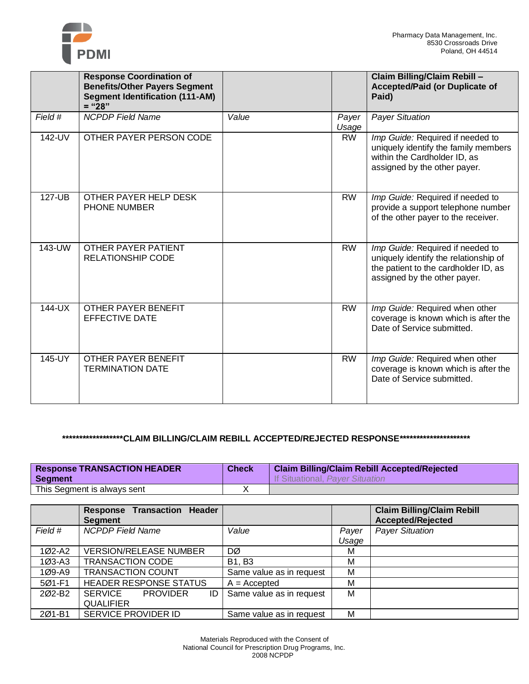

|            | <b>Response Coordination of</b><br><b>Benefits/Other Payers Segment</b> |       |                | Claim Billing/Claim Rebill -<br><b>Accepted/Paid (or Duplicate of</b>                                                                             |
|------------|-------------------------------------------------------------------------|-------|----------------|---------------------------------------------------------------------------------------------------------------------------------------------------|
|            | <b>Segment Identification (111-AM)</b><br>$=$ "28"                      |       |                | Paid)                                                                                                                                             |
| Field #    | <b>NCPDP Field Name</b>                                                 | Value | Payer<br>Usage | <b>Payer Situation</b>                                                                                                                            |
| 142-UV     | OTHER PAYER PERSON CODE                                                 |       | <b>RW</b>      | Imp Guide: Required if needed to<br>uniquely identify the family members<br>within the Cardholder ID, as<br>assigned by the other payer.          |
| 127-UB     | OTHER PAYER HELP DESK<br><b>PHONE NUMBER</b>                            |       | <b>RW</b>      | Imp Guide: Required if needed to<br>provide a support telephone number<br>of the other payer to the receiver.                                     |
| 143-UW     | OTHER PAYER PATIENT<br><b>RELATIONSHIP CODE</b>                         |       | <b>RW</b>      | Imp Guide: Required if needed to<br>uniquely identify the relationship of<br>the patient to the cardholder ID, as<br>assigned by the other payer. |
| 144-UX     | <b>OTHER PAYER BENEFIT</b><br><b>EFFECTIVE DATE</b>                     |       | <b>RW</b>      | Imp Guide: Required when other<br>coverage is known which is after the<br>Date of Service submitted.                                              |
| $145 -$ UY | OTHER PAYER BENEFIT<br><b>TERMINATION DATE</b>                          |       | <b>RW</b>      | Imp Guide: Required when other<br>coverage is known which is after the<br>Date of Service submitted.                                              |

### **\*\*\*\*\*\*\*\*\*\*\*\*\*\*\*\*\*\*CLAIM BILLING/CLAIM REBILL ACCEPTED/REJECTED RESPONSE\*\*\*\*\*\*\*\*\*\*\*\*\*\*\*\*\*\*\*\*\***

| <b>Response TRANSACTION HEADER</b> | <b>Check</b> | <b>Claim Billing/Claim Rebill Accepted/Rejected</b> |
|------------------------------------|--------------|-----------------------------------------------------|
| Segment                            |              | If Situational, Paver Situation                     |
| This Segment is always sent        |              |                                                     |

|            | <b>Response Transaction Header</b><br><b>Segment</b> |                          |       | <b>Claim Billing/Claim Rebill</b><br><b>Accepted/Rejected</b> |
|------------|------------------------------------------------------|--------------------------|-------|---------------------------------------------------------------|
| Field #    | <b>NCPDP</b> Field Name                              | Value                    | Payer | <b>Payer Situation</b>                                        |
|            |                                                      |                          | Usage |                                                               |
| 1Ø2-A2     | <b>VERSION/RELEASE NUMBER</b>                        | DØ                       | М     |                                                               |
| $103 - A3$ | <b>TRANSACTION CODE</b>                              | <b>B1, B3</b>            | М     |                                                               |
| 1Ø9-A9     | <b>TRANSACTION COUNT</b>                             | Same value as in request | М     |                                                               |
| 5Ø1-F1     | HEADER RESPONSE STATUS                               | $A = Accepted$           | М     |                                                               |
| 202-B2     | SERVICE<br><b>PROVIDER</b><br>ID                     | Same value as in request | M     |                                                               |
|            | <b>QUALIFIER</b>                                     |                          |       |                                                               |
| 201-B1     | SERVICE PROVIDER ID                                  | Same value as in request | М     |                                                               |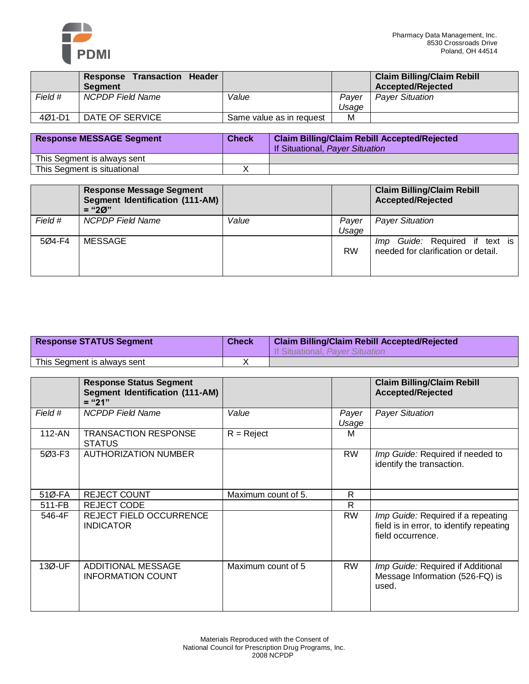

|         | Response Transaction Header<br><b>Seament</b> |                          |       | <b>Claim Billing/Claim Rebill</b><br>Accepted/Rejected |
|---------|-----------------------------------------------|--------------------------|-------|--------------------------------------------------------|
| Field # | <b>NCPDP Field Name</b>                       | Value                    | Paver | <b>Payer Situation</b>                                 |
|         |                                               |                          | Usage |                                                        |
| 4Ø1-D1  | DATE OF SERVICE                               | Same value as in request | М     |                                                        |

| <b>Response MESSAGE Segment</b> | <b>Check</b> | <b>Claim Billing/Claim Rebill Accepted/Rejected</b><br>If Situational, Payer Situation |
|---------------------------------|--------------|----------------------------------------------------------------------------------------|
| This Segment is always sent     |              |                                                                                        |
| This Segment is situational     |              |                                                                                        |

|         | <b>Response Message Segment</b><br><b>Segment Identification (111-AM)</b><br>$=$ "20" |       |                | <b>Claim Billing/Claim Rebill</b><br><b>Accepted/Rejected</b>            |
|---------|---------------------------------------------------------------------------------------|-------|----------------|--------------------------------------------------------------------------|
| Field # | <b>NCPDP Field Name</b>                                                               | Value | Payer<br>Usage | <b>Payer Situation</b>                                                   |
| 504-F4  | MESSAGE                                                                               |       | <b>RW</b>      | Guide: Required if text is<br>lmp<br>needed for clarification or detail. |

| <b>Response STATUS Segment</b> | <b>Check</b> | <b>Claim Billing/Claim Rebill Accepted/Rejected</b><br>If Situational, Paver Situation |
|--------------------------------|--------------|----------------------------------------------------------------------------------------|
| This Segment is always sent    |              |                                                                                        |

|            | <b>Response Status Segment</b><br><b>Segment Identification (111-AM)</b><br>$=$ "21" |                     |                | <b>Claim Billing/Claim Rebill</b><br><b>Accepted/Rejected</b>                                       |
|------------|--------------------------------------------------------------------------------------|---------------------|----------------|-----------------------------------------------------------------------------------------------------|
| Field #    | <b>NCPDP</b> Field Name                                                              | Value               | Payer<br>Usage | <b>Payer Situation</b>                                                                              |
| $112 - AN$ | <b>TRANSACTION RESPONSE</b><br><b>STATUS</b>                                         | $R = Reject$        | м              |                                                                                                     |
| 5Ø3-F3     | <b>AUTHORIZATION NUMBER</b>                                                          |                     | <b>RW</b>      | Imp Guide: Required if needed to<br>identify the transaction.                                       |
| 51Ø-FA     | <b>REJECT COUNT</b>                                                                  | Maximum count of 5. | R              |                                                                                                     |
| 511-FB     | <b>REJECT CODE</b>                                                                   |                     | R              |                                                                                                     |
| 546-4F     | <b>REJECT FIELD OCCURRENCE</b><br><b>INDICATOR</b>                                   |                     | <b>RW</b>      | Imp Guide: Required if a repeating<br>field is in error, to identify repeating<br>field occurrence. |
| 13Ø-UF     | <b>ADDITIONAL MESSAGE</b><br><b>INFORMATION COUNT</b>                                | Maximum count of 5  | <b>RW</b>      | Imp Guide: Required if Additional<br>Message Information (526-FQ) is<br>used.                       |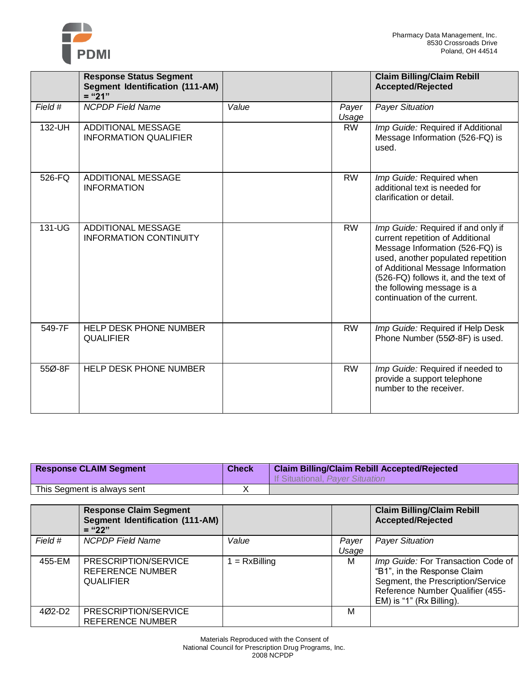

|         | <b>Response Status Segment</b><br><b>Segment Identification (111-AM)</b><br>$=$ "21" |       |                | <b>Claim Billing/Claim Rebill</b><br><b>Accepted/Rejected</b>                                                                                                                                                                                                                              |
|---------|--------------------------------------------------------------------------------------|-------|----------------|--------------------------------------------------------------------------------------------------------------------------------------------------------------------------------------------------------------------------------------------------------------------------------------------|
| Field # | <b>NCPDP</b> Field Name                                                              | Value | Payer<br>Usage | <b>Payer Situation</b>                                                                                                                                                                                                                                                                     |
| 132-UH  | <b>ADDITIONAL MESSAGE</b><br><b>INFORMATION QUALIFIER</b>                            |       | <b>RW</b>      | Imp Guide: Required if Additional<br>Message Information (526-FQ) is<br>used.                                                                                                                                                                                                              |
| 526-FQ  | <b>ADDITIONAL MESSAGE</b><br><b>INFORMATION</b>                                      |       | <b>RW</b>      | Imp Guide: Required when<br>additional text is needed for<br>clarification or detail.                                                                                                                                                                                                      |
| 131-UG  | <b>ADDITIONAL MESSAGE</b><br><b>INFORMATION CONTINUITY</b>                           |       | <b>RW</b>      | Imp Guide: Required if and only if<br>current repetition of Additional<br>Message Information (526-FQ) is<br>used, another populated repetition<br>of Additional Message Information<br>(526-FQ) follows it, and the text of<br>the following message is a<br>continuation of the current. |
| 549-7F  | HELP DESK PHONE NUMBER<br><b>QUALIFIER</b>                                           |       | <b>RW</b>      | Imp Guide: Required if Help Desk<br>Phone Number (55Ø-8F) is used.                                                                                                                                                                                                                         |
| 55Ø-8F  | <b>HELP DESK PHONE NUMBER</b>                                                        |       | <b>RW</b>      | Imp Guide: Required if needed to<br>provide a support telephone<br>number to the receiver.                                                                                                                                                                                                 |

| <b>Response CLAIM Segment</b> | <b>Check</b> | <b>Claim Billing/Claim Rebill Accepted/Rejected</b><br>If Situational, Paver Situation |
|-------------------------------|--------------|----------------------------------------------------------------------------------------|
| This Segment is always sent   |              |                                                                                        |

|         | <b>Response Claim Segment</b><br><b>Segment Identification (111-AM)</b><br>$=$ "22" |               |                | <b>Claim Billing/Claim Rebill</b><br>Accepted/Rejected                                                                                                                       |
|---------|-------------------------------------------------------------------------------------|---------------|----------------|------------------------------------------------------------------------------------------------------------------------------------------------------------------------------|
| Field # | <b>NCPDP Field Name</b>                                                             | Value         | Payer<br>Usage | <b>Payer Situation</b>                                                                                                                                                       |
| 455-EM  | PRESCRIPTION/SERVICE<br>REFERENCE NUMBER<br><b>QUALIFIER</b>                        | $= RxBilling$ | М              | Imp Guide: For Transaction Code of<br>"B1", in the Response Claim<br>Segment, the Prescription/Service<br>Reference Number Qualifier (455-<br>$EM$ ) is "1" ( $Rx$ Billing). |
| 4Ø2-D2  | PRESCRIPTION/SERVICE<br><b>REFERENCE NUMBER</b>                                     |               | м              |                                                                                                                                                                              |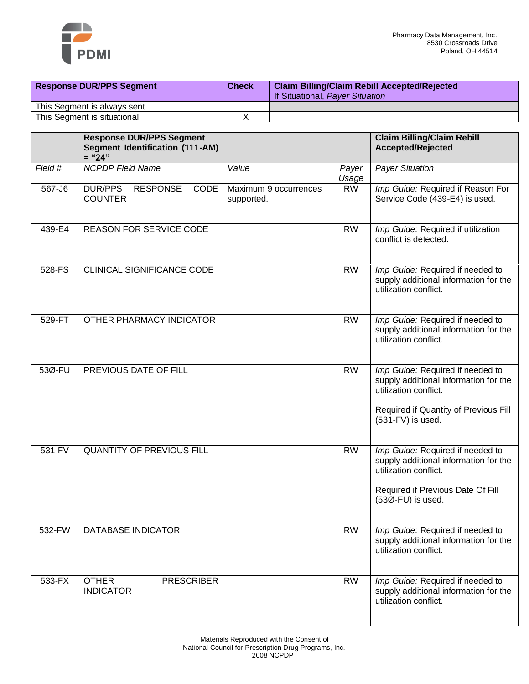

| <b>Response DUR/PPS Segment</b> | <b>Check</b> | <b>Claim Billing/Claim Rebill Accepted/Rejected</b><br>If Situational, Payer Situation |
|---------------------------------|--------------|----------------------------------------------------------------------------------------|
| This Segment is always sent     |              |                                                                                        |
| This Segment is situational     |              |                                                                                        |

|         | <b>Response DUR/PPS Segment</b><br><b>Segment Identification (111-AM)</b><br>$=" 24"$ |                                     |                | <b>Claim Billing/Claim Rebill</b><br><b>Accepted/Rejected</b>                                                                                                    |
|---------|---------------------------------------------------------------------------------------|-------------------------------------|----------------|------------------------------------------------------------------------------------------------------------------------------------------------------------------|
| Field # | <b>NCPDP Field Name</b>                                                               | Value                               | Payer<br>Usage | <b>Payer Situation</b>                                                                                                                                           |
| 567-J6  | <b>DUR/PPS</b><br>CODE<br><b>RESPONSE</b><br><b>COUNTER</b>                           | Maximum 9 occurrences<br>supported. | <b>RW</b>      | Imp Guide: Required if Reason For<br>Service Code (439-E4) is used.                                                                                              |
| 439-E4  | REASON FOR SERVICE CODE                                                               |                                     | <b>RW</b>      | Imp Guide: Required if utilization<br>conflict is detected.                                                                                                      |
| 528-FS  | CLINICAL SIGNIFICANCE CODE                                                            |                                     | <b>RW</b>      | Imp Guide: Required if needed to<br>supply additional information for the<br>utilization conflict.                                                               |
| 529-FT  | OTHER PHARMACY INDICATOR                                                              |                                     | <b>RW</b>      | Imp Guide: Required if needed to<br>supply additional information for the<br>utilization conflict.                                                               |
| 53Ø-FU  | PREVIOUS DATE OF FILL                                                                 |                                     | <b>RW</b>      | Imp Guide: Required if needed to<br>supply additional information for the<br>utilization conflict.<br>Required if Quantity of Previous Fill<br>(531-FV) is used. |
| 531-FV  | <b>QUANTITY OF PREVIOUS FILL</b>                                                      |                                     | <b>RW</b>      | Imp Guide: Required if needed to<br>supply additional information for the<br>utilization conflict.<br>Required if Previous Date Of Fill<br>(53Ø-FU) is used.     |
| 532-FW  | <b>DATABASE INDICATOR</b>                                                             |                                     | <b>RW</b>      | Imp Guide: Required if needed to<br>supply additional information for the<br>utilization conflict.                                                               |
| 533-FX  | <b>OTHER</b><br><b>PRESCRIBER</b><br><b>INDICATOR</b>                                 |                                     | <b>RW</b>      | Imp Guide: Required if needed to<br>supply additional information for the<br>utilization conflict.                                                               |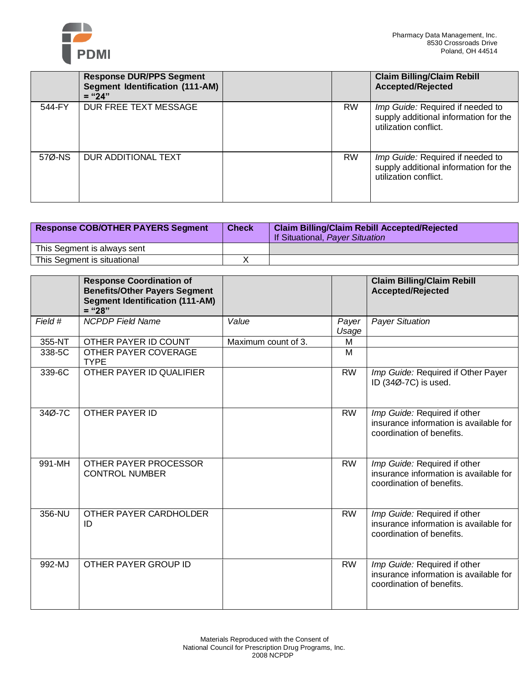

|        | <b>Response DUR/PPS Segment</b><br>Segment Identification (111-AM)<br>$=$ "24" |           | <b>Claim Billing/Claim Rebill</b><br><b>Accepted/Rejected</b>                                      |
|--------|--------------------------------------------------------------------------------|-----------|----------------------------------------------------------------------------------------------------|
| 544-FY | DUR FREE TEXT MESSAGE                                                          | <b>RW</b> | Imp Guide: Required if needed to<br>supply additional information for the<br>utilization conflict. |
| 57Ø-NS | DUR ADDITIONAL TEXT                                                            | <b>RW</b> | Imp Guide: Required if needed to<br>supply additional information for the<br>utilization conflict. |

| <b>Response COB/OTHER PAYERS Segment</b> | <b>Check</b> | <b>Claim Billing/Claim Rebill Accepted/Rejected</b><br>If Situational, Payer Situation |
|------------------------------------------|--------------|----------------------------------------------------------------------------------------|
| This Segment is always sent              |              |                                                                                        |
| This Segment is situational              |              |                                                                                        |

|         | <b>Response Coordination of</b><br><b>Benefits/Other Payers Segment</b><br><b>Segment Identification (111-AM)</b><br>$=$ "28" |                     |                | <b>Claim Billing/Claim Rebill</b><br><b>Accepted/Rejected</b>                                       |
|---------|-------------------------------------------------------------------------------------------------------------------------------|---------------------|----------------|-----------------------------------------------------------------------------------------------------|
| Field # | <b>NCPDP Field Name</b>                                                                                                       | Value               | Payer<br>Usage | <b>Payer Situation</b>                                                                              |
| 355-NT  | OTHER PAYER ID COUNT                                                                                                          | Maximum count of 3. | м              |                                                                                                     |
| 338-5C  | OTHER PAYER COVERAGE<br><b>TYPE</b>                                                                                           |                     | M              |                                                                                                     |
| 339-6C  | OTHER PAYER ID QUALIFIER                                                                                                      |                     | <b>RW</b>      | Imp Guide: Required if Other Payer<br>ID (34Ø-7C) is used.                                          |
| 34Ø-7C  | OTHER PAYER ID                                                                                                                |                     | <b>RW</b>      | Imp Guide: Required if other<br>insurance information is available for<br>coordination of benefits. |
| 991-MH  | OTHER PAYER PROCESSOR<br><b>CONTROL NUMBER</b>                                                                                |                     | <b>RW</b>      | Imp Guide: Required if other<br>insurance information is available for<br>coordination of benefits. |
| 356-NU  | OTHER PAYER CARDHOLDER<br>ID                                                                                                  |                     | <b>RW</b>      | Imp Guide: Required if other<br>insurance information is available for<br>coordination of benefits. |
| 992-MJ  | OTHER PAYER GROUP ID                                                                                                          |                     | <b>RW</b>      | Imp Guide: Required if other<br>insurance information is available for<br>coordination of benefits. |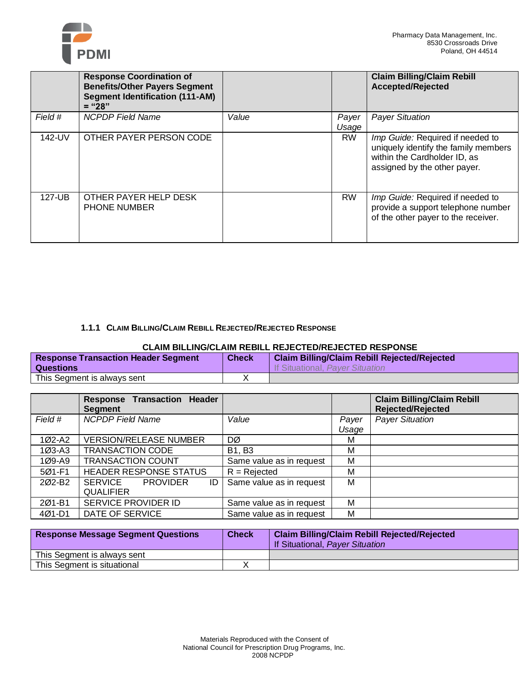

|         | <b>Response Coordination of</b><br><b>Benefits/Other Payers Segment</b><br><b>Segment Identification (111-AM)</b><br>$=$ "28" |       |                | <b>Claim Billing/Claim Rebill</b><br><b>Accepted/Rejected</b>                                                                            |
|---------|-------------------------------------------------------------------------------------------------------------------------------|-------|----------------|------------------------------------------------------------------------------------------------------------------------------------------|
| Field # | <b>NCPDP</b> Field Name                                                                                                       | Value | Payer<br>Usage | <b>Payer Situation</b>                                                                                                                   |
| 142-UV  | OTHER PAYER PERSON CODE                                                                                                       |       | <b>RW</b>      | Imp Guide: Required if needed to<br>uniquely identify the family members<br>within the Cardholder ID, as<br>assigned by the other payer. |
| 127-UB  | OTHER PAYER HELP DESK<br><b>PHONE NUMBER</b>                                                                                  |       | <b>RW</b>      | Imp Guide: Required if needed to<br>provide a support telephone number<br>of the other payer to the receiver.                            |

### **1.1.1 CLAIM BILLING/CLAIM REBILL REJECTED/REJECTED RESPONSE**

### **CLAIM BILLING/CLAIM REBILL REJECTED/REJECTED RESPONSE**

| <b>Response Transaction Header Segment</b><br><b>Questions</b> | <b>Check</b> | <b>Claim Billing/Claim Rebill Rejected/Rejected</b><br>If Situational, Paver Situation |
|----------------------------------------------------------------|--------------|----------------------------------------------------------------------------------------|
| This Segment is always sent                                    |              |                                                                                        |

|                    | <b>Response Transaction Header</b><br><b>Segment</b> |                          |       | <b>Claim Billing/Claim Rebill</b><br><b>Rejected/Rejected</b> |
|--------------------|------------------------------------------------------|--------------------------|-------|---------------------------------------------------------------|
| Field #            | <b>NCPDP Field Name</b>                              | Value                    | Payer | <b>Payer Situation</b>                                        |
|                    |                                                      |                          | Usage |                                                               |
| 1Ø2-A2             | <b>VERSION/RELEASE NUMBER</b>                        | DØ                       | М     |                                                               |
| $103 - A3$         | <b>TRANSACTION CODE</b>                              | <b>B1, B3</b>            | М     |                                                               |
| $109 - A9$         | <b>TRANSACTION COUNT</b>                             | Same value as in request | м     |                                                               |
| 5Ø1-F1             | <b>HEADER RESPONSE STATUS</b>                        | $R = Rejected$           | М     |                                                               |
| 202-B <sub>2</sub> | SERVICE<br>ID<br><b>PROVIDER</b>                     | Same value as in request | м     |                                                               |
|                    | <b>QUALIFIER</b>                                     |                          |       |                                                               |
| 2Ø1-B1             | SERVICE PROVIDER ID                                  | Same value as in request | м     |                                                               |
| $401 - D1$         | DATE OF SERVICE                                      | Same value as in request | М     |                                                               |

| <b>Response Message Segment Questions</b> | <b>Check</b> | <b>Claim Billing/Claim Rebill Rejected/Rejected</b><br>If Situational, Payer Situation |
|-------------------------------------------|--------------|----------------------------------------------------------------------------------------|
| This Segment is always sent               |              |                                                                                        |
| This Segment is situational               |              |                                                                                        |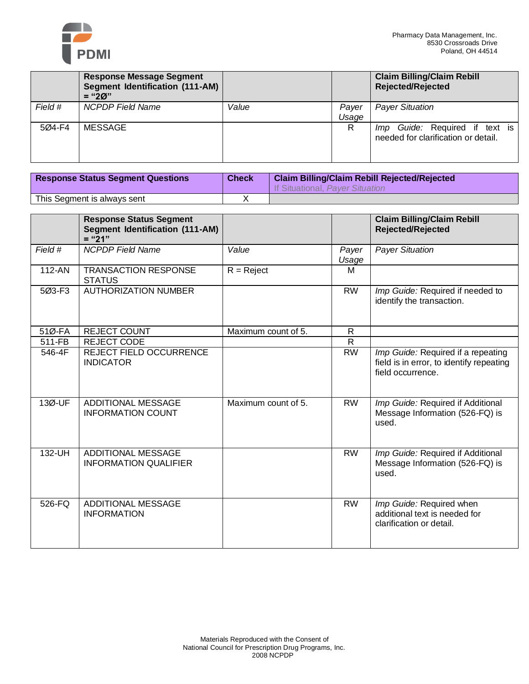

|         | <b>Response Message Segment</b><br>Segment Identification (111-AM)<br>$=$ "20" |       |                | <b>Claim Billing/Claim Rebill</b><br><b>Rejected/Rejected</b>            |
|---------|--------------------------------------------------------------------------------|-------|----------------|--------------------------------------------------------------------------|
| Field # | <b>NCPDP</b> Field Name                                                        | Value | Payer<br>Usage | <b>Payer Situation</b>                                                   |
| 5Ø4-F4  | MESSAGE                                                                        |       | R              | Guide: Required if text is<br>lmp<br>needed for clarification or detail. |

| <b>Response Status Segment Questions</b> | <b>Check</b> | <b>Claim Billing/Claim Rebill Rejected/Rejected</b><br>If Situational, Paver Situation |
|------------------------------------------|--------------|----------------------------------------------------------------------------------------|
| This Segment is always sent              |              |                                                                                        |

|         | <b>Response Status Segment</b><br><b>Segment Identification (111-AM)</b><br>$=$ "21" |                     |                | <b>Claim Billing/Claim Rebill</b><br><b>Rejected/Rejected</b>                                       |
|---------|--------------------------------------------------------------------------------------|---------------------|----------------|-----------------------------------------------------------------------------------------------------|
| Field # | <b>NCPDP Field Name</b>                                                              | Value               | Payer<br>Usage | <b>Payer Situation</b>                                                                              |
| 112-AN  | <b>TRANSACTION RESPONSE</b><br><b>STATUS</b>                                         | $R = Reject$        | M              |                                                                                                     |
| 5Ø3-F3  | <b>AUTHORIZATION NUMBER</b>                                                          |                     | <b>RW</b>      | Imp Guide: Required if needed to<br>identify the transaction.                                       |
| 51Ø-FA  | REJECT COUNT                                                                         | Maximum count of 5. | $\mathsf{R}$   |                                                                                                     |
| 511-FB  | <b>REJECT CODE</b>                                                                   |                     | $\mathsf{R}$   |                                                                                                     |
| 546-4F  | <b>REJECT FIELD OCCURRENCE</b><br><b>INDICATOR</b>                                   |                     | <b>RW</b>      | Imp Guide: Required if a repeating<br>field is in error, to identify repeating<br>field occurrence. |
| 13Ø-UF  | <b>ADDITIONAL MESSAGE</b><br><b>INFORMATION COUNT</b>                                | Maximum count of 5. | <b>RW</b>      | Imp Guide: Required if Additional<br>Message Information (526-FQ) is<br>used.                       |
| 132-UH  | <b>ADDITIONAL MESSAGE</b><br><b>INFORMATION QUALIFIER</b>                            |                     | <b>RW</b>      | Imp Guide: Required if Additional<br>Message Information (526-FQ) is<br>used.                       |
| 526-FQ  | <b>ADDITIONAL MESSAGE</b><br><b>INFORMATION</b>                                      |                     | <b>RW</b>      | Imp Guide: Required when<br>additional text is needed for<br>clarification or detail.               |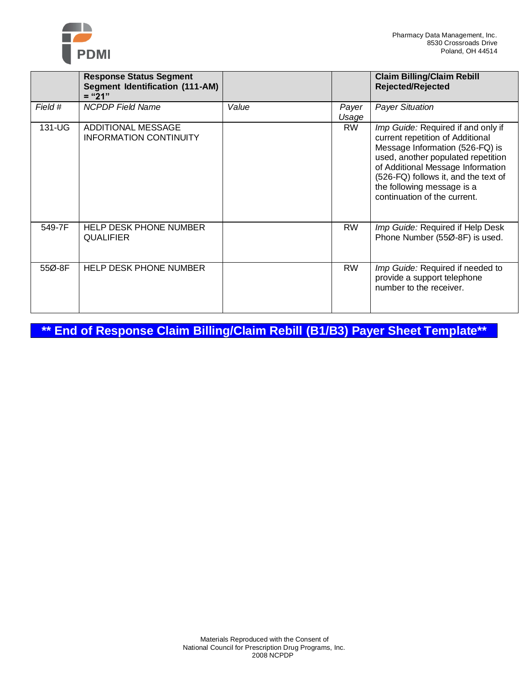

|         | <b>Response Status Segment</b><br><b>Segment Identification (111-AM)</b><br>$=$ "21" |       |                | <b>Claim Billing/Claim Rebill</b><br><b>Rejected/Rejected</b>                                                                                                                                                                                                                              |
|---------|--------------------------------------------------------------------------------------|-------|----------------|--------------------------------------------------------------------------------------------------------------------------------------------------------------------------------------------------------------------------------------------------------------------------------------------|
| Field # | <b>NCPDP</b> Field Name                                                              | Value | Payer<br>Usage | <b>Payer Situation</b>                                                                                                                                                                                                                                                                     |
| 131-UG  | ADDITIONAL MESSAGE<br><b>INFORMATION CONTINUITY</b>                                  |       | <b>RW</b>      | Imp Guide: Required if and only if<br>current repetition of Additional<br>Message Information (526-FQ) is<br>used, another populated repetition<br>of Additional Message Information<br>(526-FQ) follows it, and the text of<br>the following message is a<br>continuation of the current. |
| 549-7F  | <b>HELP DESK PHONE NUMBER</b><br><b>QUALIFIER</b>                                    |       | <b>RW</b>      | Imp Guide: Required if Help Desk<br>Phone Number (55Ø-8F) is used.                                                                                                                                                                                                                         |
| 55Ø-8F  | <b>HELP DESK PHONE NUMBER</b>                                                        |       | <b>RW</b>      | Imp Guide: Required if needed to<br>provide a support telephone<br>number to the receiver.                                                                                                                                                                                                 |

**\*\* End of Response Claim Billing/Claim Rebill (B1/B3) Payer Sheet Template\*\***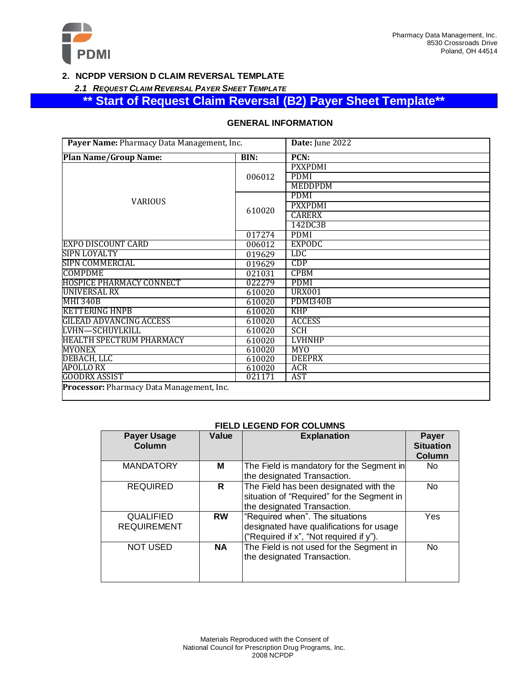

### **2. NCPDP VERSION D CLAIM REVERSAL TEMPLATE**

*2.1 REQUEST CLAIM REVERSAL PAYER SHEET TEMPLATE*

## **\*\* Start of Request Claim Reversal (B2) Payer Sheet Template\*\***

| Payer Name: Pharmacy Data Management, Inc. |        | Date: June 2022 |
|--------------------------------------------|--------|-----------------|
| <b>Plan Name/Group Name:</b><br>BIN:       |        | PCN:            |
|                                            |        | <b>PXXPDMI</b>  |
|                                            | 006012 | <b>PDMI</b>     |
|                                            |        | <b>MEDDPDM</b>  |
|                                            |        | <b>PDMI</b>     |
| <b>VARIOUS</b>                             |        | <b>PXXPDMI</b>  |
|                                            | 610020 | <b>CARERX</b>   |
|                                            |        | 142DC3B         |
|                                            | 017274 | <b>PDMI</b>     |
| <b>EXPO DISCOUNT CARD</b>                  | 006012 | <b>EXPODC</b>   |
| SIPN LOYALTY                               | 019629 | <b>LDC</b>      |
| SIPN COMMERCIAL                            | 019629 | CDP             |
| <b>COMPDME</b>                             | 021031 | <b>CPBM</b>     |
| <b>HOSPICE PHARMACY CONNECT</b>            | 022279 | PDMI            |
| UNIVERSAL RX                               | 610020 | <b>URX001</b>   |
| <b>MHI 340B</b>                            | 610020 | <b>PDMI340B</b> |
| <b>KETTERING HNPB</b>                      | 610020 | <b>KHP</b>      |
| <b>GILEAD ADVANCING ACCESS</b>             | 610020 | <b>ACCESS</b>   |
| LVHN—SCHUYLKILL                            | 610020 | <b>SCH</b>      |
| <b>HEALTH SPECTRUM PHARMACY</b>            | 610020 | <b>LVHNHP</b>   |
| <b>MYONEX</b>                              | 610020 | <b>MYO</b>      |
| DEBACH, LLC                                | 610020 | <b>DEEPRX</b>   |
| <b>APOLLO RX</b>                           | 610020 | ACR             |
| <b>GOODRX ASSIST</b>                       | 021171 | AST             |
| Processor: Pharmacy Data Management, Inc.  |        |                 |

### **GENERAL INFORMATION**

### **FIELD LEGEND FOR COLUMNS**

| <b>Payer Usage</b><br><b>Column</b>    | Value     | <b>Explanation</b>                                                                                                     | <b>Payer</b><br><b>Situation</b><br><b>Column</b> |
|----------------------------------------|-----------|------------------------------------------------------------------------------------------------------------------------|---------------------------------------------------|
| <b>MANDATORY</b>                       | м         | The Field is mandatory for the Segment in<br>the designated Transaction.                                               | No.                                               |
| <b>REQUIRED</b>                        | R         | The Field has been designated with the<br>situation of "Required" for the Segment in<br>the designated Transaction.    | N <sub>o</sub>                                    |
| <b>QUALIFIED</b><br><b>REQUIREMENT</b> | <b>RW</b> | "Required when". The situations<br>designated have qualifications for usage<br>("Required if x", "Not required if y"). | Yes                                               |
| <b>NOT USED</b>                        | <b>NA</b> | The Field is not used for the Segment in<br>the designated Transaction.                                                | <b>No</b>                                         |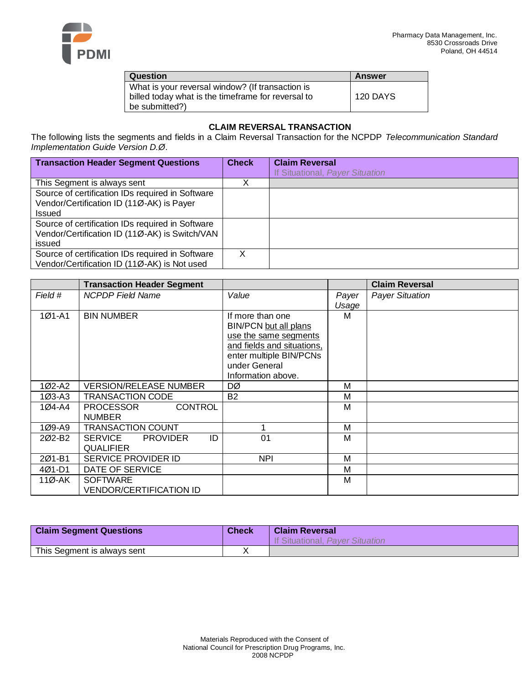

| Question                                                                                               | <b>Answer</b>   |
|--------------------------------------------------------------------------------------------------------|-----------------|
| What is your reversal window? (If transaction is<br>billed today what is the timeframe for reversal to | <b>120 DAYS</b> |
| be submitted?)                                                                                         |                 |

### **CLAIM REVERSAL TRANSACTION**

The following lists the segments and fields in a Claim Reversal Transaction for the NCPDP *Telecommunication Standard Implementation Guide Version D.Ø*.

| <b>Transaction Header Segment Questions</b>      | <b>Check</b> | <b>Claim Reversal</b>           |
|--------------------------------------------------|--------------|---------------------------------|
|                                                  |              | If Situational, Payer Situation |
| This Segment is always sent                      | v            |                                 |
| Source of certification IDs required in Software |              |                                 |
| Vendor/Certification ID (11Ø-AK) is Payer        |              |                                 |
| <b>Issued</b>                                    |              |                                 |
| Source of certification IDs required in Software |              |                                 |
| Vendor/Certification ID (11Ø-AK) is Switch/VAN   |              |                                 |
| issued                                           |              |                                 |
| Source of certification IDs required in Software | X            |                                 |
| Vendor/Certification ID (11Ø-AK) is Not used     |              |                                 |

|            | <b>Transaction Header Segment</b>  |                            |       | <b>Claim Reversal</b>  |
|------------|------------------------------------|----------------------------|-------|------------------------|
| Field #    | <b>NCPDP</b> Field Name            | Value                      | Payer | <b>Payer Situation</b> |
|            |                                    |                            | Usage |                        |
| $1Ø1 - A1$ | <b>BIN NUMBER</b>                  | If more than one           | м     |                        |
|            |                                    | BIN/PCN but all plans      |       |                        |
|            |                                    | use the same segments      |       |                        |
|            |                                    | and fields and situations, |       |                        |
|            |                                    | enter multiple BIN/PCNs    |       |                        |
|            |                                    | under General              |       |                        |
|            |                                    | Information above.         |       |                        |
| 1Ø2-A2     | <b>VERSION/RELEASE NUMBER</b>      | DØ                         | M     |                        |
| 1Ø3-A3     | TRANSACTION CODE                   | <b>B2</b>                  | M     |                        |
| 1Ø4-A4     | <b>CONTROL</b><br><b>PROCESSOR</b> |                            | М     |                        |
|            | <b>NUMBER</b>                      |                            |       |                        |
| 1Ø9-A9     | <b>TRANSACTION COUNT</b>           |                            | M     |                        |
| 202-B2     | ID<br>SERVICE<br><b>PROVIDER</b>   | 01                         | M     |                        |
|            | <b>QUALIFIER</b>                   |                            |       |                        |
| 201-B1     | <b>SERVICE PROVIDER ID</b>         | <b>NPI</b>                 | M     |                        |
| 4Ø1-D1     | DATE OF SERVICE                    |                            | M     |                        |
| 11Ø-AK     | <b>SOFTWARE</b>                    |                            | M     |                        |
|            | <b>VENDOR/CERTIFICATION ID</b>     |                            |       |                        |

| <b>Claim Segment Questions</b> | <b>Check</b> | <b>Claim Reversal</b><br>If Situational, Payer Situation |
|--------------------------------|--------------|----------------------------------------------------------|
| This Segment is always sent    |              |                                                          |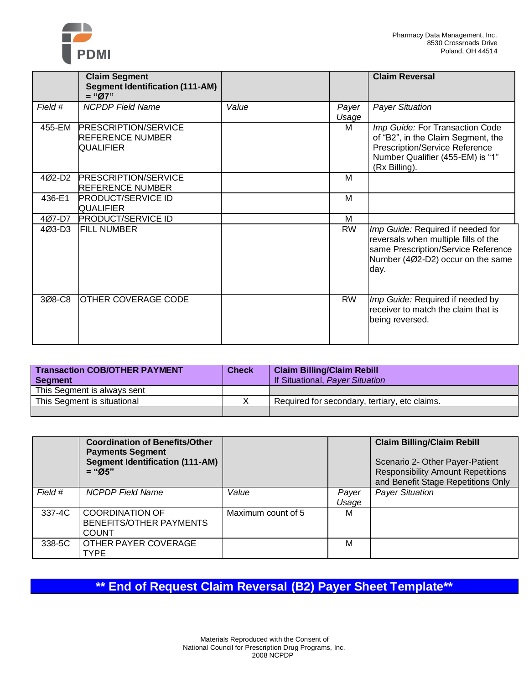

|         | <b>Claim Segment</b><br><b>Segment Identification (111-AM)</b><br>$=$ "Ø7" |       |                | <b>Claim Reversal</b>                                                                                                                                         |
|---------|----------------------------------------------------------------------------|-------|----------------|---------------------------------------------------------------------------------------------------------------------------------------------------------------|
| Field # | <b>NCPDP Field Name</b>                                                    | Value | Payer<br>Usage | <b>Payer Situation</b>                                                                                                                                        |
| 455-EM  | <b>PRESCRIPTION/SERVICE</b><br><b>REFERENCE NUMBER</b><br><b>QUALIFIER</b> |       | M              | Imp Guide: For Transaction Code<br>of "B2", in the Claim Segment, the<br>Prescription/Service Reference<br>Number Qualifier (455-EM) is "1"<br>(Rx Billing).  |
| 4Ø2-D2  | <b>PRESCRIPTION/SERVICE</b><br><b>REFERENCE NUMBER</b>                     |       | м              |                                                                                                                                                               |
| 436-E1  | <b>PRODUCT/SERVICE ID</b><br><b>QUALIFIER</b>                              |       | M              |                                                                                                                                                               |
| 4Ø7-D7  | <b>PRODUCT/SERVICE ID</b>                                                  |       | M              |                                                                                                                                                               |
| 4Ø3-D3  | <b>FILL NUMBER</b>                                                         |       | <b>RW</b>      | Imp Guide: Required if needed for<br>reversals when multiple fills of the<br>same Prescription/Service Reference<br>Number (4Ø2-D2) occur on the same<br>day. |
| 3Ø8-C8  | <b>OTHER COVERAGE CODE</b>                                                 |       | <b>RW</b>      | Imp Guide: Required if needed by<br>receiver to match the claim that is<br>being reversed.                                                                    |

| <b>Transaction COB/OTHER PAYMENT</b><br><b>Segment</b> | <b>Check</b> | <b>Claim Billing/Claim Rebill</b><br>If Situational, Payer Situation |
|--------------------------------------------------------|--------------|----------------------------------------------------------------------|
| This Segment is always sent                            |              |                                                                      |
| This Segment is situational                            |              | Required for secondary, tertiary, etc claims.                        |
|                                                        |              |                                                                      |

|         | <b>Coordination of Benefits/Other</b><br><b>Payments Segment</b><br><b>Segment Identification (111-AM)</b><br>$=$ "Ø5" |                    |                | <b>Claim Billing/Claim Rebill</b><br>Scenario 2- Other Payer-Patient<br><b>Responsibility Amount Repetitions</b><br>and Benefit Stage Repetitions Only |
|---------|------------------------------------------------------------------------------------------------------------------------|--------------------|----------------|--------------------------------------------------------------------------------------------------------------------------------------------------------|
| Field # | <b>NCPDP</b> Field Name                                                                                                | Value              | Payer<br>Usage | <b>Payer Situation</b>                                                                                                                                 |
| 337-4C  | <b>COORDINATION OF</b><br><b>BENEFITS/OTHER PAYMENTS</b><br><b>COUNT</b>                                               | Maximum count of 5 | М              |                                                                                                                                                        |
| 338-5C  | OTHER PAYER COVERAGE<br><b>TYPE</b>                                                                                    |                    | м              |                                                                                                                                                        |

# **\*\* End of Request Claim Reversal (B2) Payer Sheet Template\*\***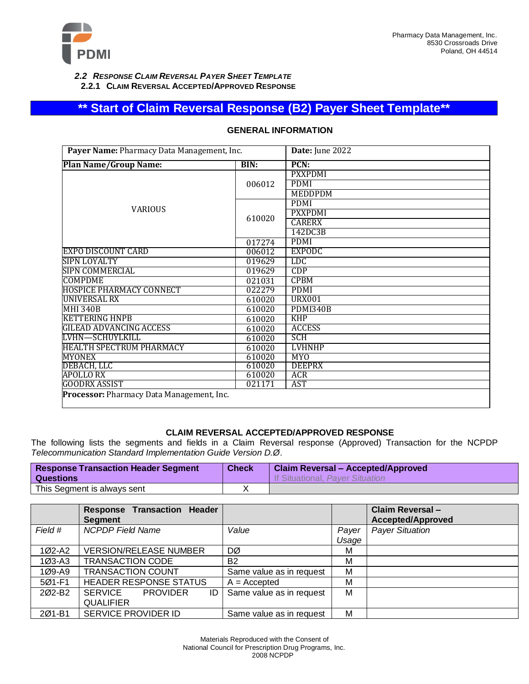

*2.2 RESPONSE CLAIM REVERSAL PAYER SHEET TEMPLATE* **2.2.1 CLAIM REVERSAL ACCEPTED/APPROVED RESPONSE**

### **\*\* Start of Claim Reversal Response (B2) Payer Sheet Template\*\***

| Payer Name: Pharmacy Data Management, Inc. |        | Date: June 2022 |
|--------------------------------------------|--------|-----------------|
| <b>Plan Name/Group Name:</b>               | BIN:   | PCN:            |
|                                            |        | <b>PXXPDMI</b>  |
|                                            | 006012 | <b>PDMI</b>     |
|                                            |        | MEDDPDM         |
|                                            |        | <b>PDMI</b>     |
| <b>VARIOUS</b>                             | 610020 | <b>PXXPDMI</b>  |
|                                            |        | <b>CARERX</b>   |
|                                            |        | 142DC3B         |
|                                            | 017274 | <b>PDMI</b>     |
| <b>EXPO DISCOUNT CARD</b>                  | 006012 | <b>EXPODC</b>   |
| SIPN LOYALTY                               | 019629 | <b>LDC</b>      |
| SIPN COMMERCIAL                            | 019629 | CDP             |
| <b>COMPDME</b>                             | 021031 | <b>CPBM</b>     |
| <b>HOSPICE PHARMACY CONNECT</b>            | 022279 | <b>PDMI</b>     |
| <b>UNIVERSAL RX</b>                        | 610020 | <b>URX001</b>   |
| <b>MHI 340B</b>                            | 610020 | PDMI340B        |
| <b>KETTERING HNPB</b>                      | 610020 | <b>KHP</b>      |
| GILEAD ADVANCING ACCESS                    | 610020 | <b>ACCESS</b>   |
| <b>LVHN-SCHUYLKILL</b>                     | 610020 | <b>SCH</b>      |
| <b>HEALTH SPECTRUM PHARMACY</b>            | 610020 | <b>LVHNHP</b>   |
| <b>MYONEX</b>                              | 610020 | <b>MYO</b>      |
| DEBACH, LLC                                | 610020 | <b>DEEPRX</b>   |
| <b>APOLLO RX</b>                           | 610020 | <b>ACR</b>      |
| <b>GOODRX ASSIST</b>                       | 021171 | AST             |
| Processor: Pharmacy Data Management, Inc.  |        |                 |

### **GENERAL INFORMATION**

### **CLAIM REVERSAL ACCEPTED/APPROVED RESPONSE**

The following lists the segments and fields in a Claim Reversal response (Approved) Transaction for the NCPDP *Telecommunication Standard Implementation Guide Version D.Ø*.

| <b>Response Transaction Header Segment</b><br><b>Questions</b> | <b>Check</b> | <b>Claim Reversal - Accepted/Approved</b><br>If Situational, Payer Situation |
|----------------------------------------------------------------|--------------|------------------------------------------------------------------------------|
| This Segment is always sent                                    |              |                                                                              |

|                    | <b>Response Transaction Header</b><br><b>Segment</b> |                          |       | Claim Reversal-<br><b>Accepted/Approved</b> |
|--------------------|------------------------------------------------------|--------------------------|-------|---------------------------------------------|
| Field #            | <b>NCPDP Field Name</b>                              | Value                    | Payer | <b>Payer Situation</b>                      |
|                    |                                                      |                          | Usage |                                             |
| 1Ø2-A2             | <b>VERSION/RELEASE NUMBER</b>                        | DØ                       | м     |                                             |
| $103 - A3$         | <b>TRANSACTION CODE</b>                              | <b>B2</b>                | М     |                                             |
| $109 - A9$         | <b>TRANSACTION COUNT</b>                             | Same value as in request | м     |                                             |
| 5Ø1-F1             | <b>HEADER RESPONSE STATUS</b>                        | $A = Accepted$           | м     |                                             |
| 202-B <sub>2</sub> | SERVICE PROVIDER<br>ID                               | Same value as in request | м     |                                             |
|                    | <b>QUALIFIER</b>                                     |                          |       |                                             |
| 201-B1             | SERVICE PROVIDER ID                                  | Same value as in request | м     |                                             |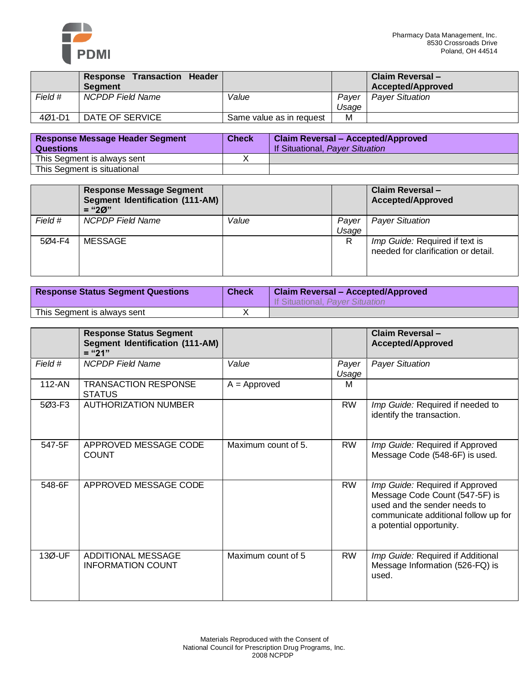

|         | <b>Response Transaction Header</b><br><b>Seament</b> |                          |                | / Claim Reversal –<br><b>Accepted/Approved</b> |
|---------|------------------------------------------------------|--------------------------|----------------|------------------------------------------------|
| Field # | <b>NCPDP Field Name</b>                              | Value                    | Paver<br>Usage | <b>Payer Situation</b>                         |
| 4Ø1-D1  | DATE OF SERVICE                                      | Same value as in request | M              |                                                |

| <b>Response Message Header Segment</b> | <b>Check</b> | <b>Claim Reversal - Accepted/Approved</b> |
|----------------------------------------|--------------|-------------------------------------------|
| Questions                              |              | If Situational, Payer Situation           |
| This Segment is always sent            |              |                                           |
| This Segment is situational            |              |                                           |

|         | Response Message Segment<br><b>Segment Identification (111-AM)</b><br>$=$ "20" |       |                | Claim Reversal-<br><b>Accepted/Approved</b>                           |
|---------|--------------------------------------------------------------------------------|-------|----------------|-----------------------------------------------------------------------|
| Field # | <b>NCPDP</b> Field Name                                                        | Value | Payer<br>Usage | <b>Payer Situation</b>                                                |
| 5Ø4-F4  | MESSAGE                                                                        |       | R              | Imp Guide: Required if text is<br>needed for clarification or detail. |

| <b>Response Status Segment Questions</b> | <b>Check</b> | <b>Claim Reversal - Accepted/Approved</b><br>If Situational, Payer Situation |
|------------------------------------------|--------------|------------------------------------------------------------------------------|
| This Segment is always sent              |              |                                                                              |

|            | <b>Response Status Segment</b><br><b>Segment Identification (111-AM)</b><br>$=$ "21" |                     |                | Claim Reversal-<br><b>Accepted/Approved</b>                                                                                                                           |
|------------|--------------------------------------------------------------------------------------|---------------------|----------------|-----------------------------------------------------------------------------------------------------------------------------------------------------------------------|
| Field #    | <b>NCPDP Field Name</b>                                                              | Value               | Payer<br>Usage | <b>Payer Situation</b>                                                                                                                                                |
| 112-AN     | <b>TRANSACTION RESPONSE</b><br><b>STATUS</b>                                         | $A =$ Approved      | м              |                                                                                                                                                                       |
| $503 - F3$ | <b>AUTHORIZATION NUMBER</b>                                                          |                     | <b>RW</b>      | Imp Guide: Required if needed to<br>identify the transaction.                                                                                                         |
| 547-5F     | APPROVED MESSAGE CODE<br><b>COUNT</b>                                                | Maximum count of 5. | <b>RW</b>      | Imp Guide: Required if Approved<br>Message Code (548-6F) is used.                                                                                                     |
| 548-6F     | APPROVED MESSAGE CODE                                                                |                     | <b>RW</b>      | Imp Guide: Required if Approved<br>Message Code Count (547-5F) is<br>used and the sender needs to<br>communicate additional follow up for<br>a potential opportunity. |
| 13Ø-UF     | <b>ADDITIONAL MESSAGE</b><br><b>INFORMATION COUNT</b>                                | Maximum count of 5  | <b>RW</b>      | Imp Guide: Required if Additional<br>Message Information (526-FQ) is<br>used.                                                                                         |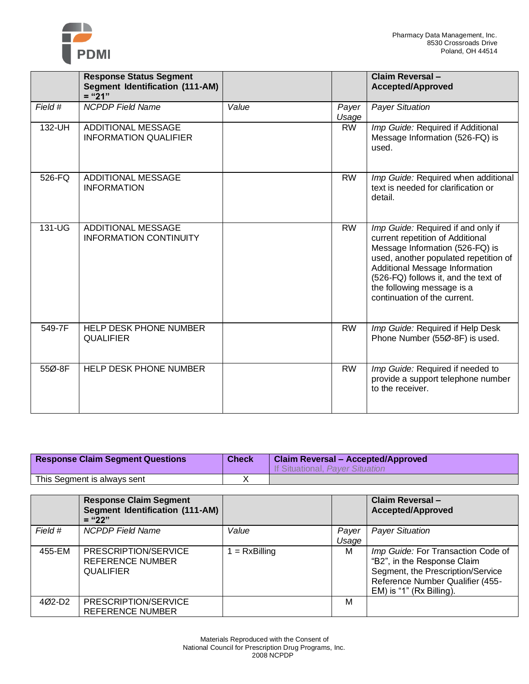

|         | <b>Response Status Segment</b>                             |       |                | Claim Reversal-                                                                                                                                                                                                                                                                            |
|---------|------------------------------------------------------------|-------|----------------|--------------------------------------------------------------------------------------------------------------------------------------------------------------------------------------------------------------------------------------------------------------------------------------------|
|         | <b>Segment Identification (111-AM)</b><br>$=" 21"$         |       |                | <b>Accepted/Approved</b>                                                                                                                                                                                                                                                                   |
| Field # | <b>NCPDP Field Name</b>                                    | Value | Payer<br>Usage | <b>Payer Situation</b>                                                                                                                                                                                                                                                                     |
| 132-UH  | <b>ADDITIONAL MESSAGE</b><br><b>INFORMATION QUALIFIER</b>  |       | <b>RW</b>      | Imp Guide: Required if Additional<br>Message Information (526-FQ) is<br>used.                                                                                                                                                                                                              |
| 526-FQ  | <b>ADDITIONAL MESSAGE</b><br><b>INFORMATION</b>            |       | <b>RW</b>      | Imp Guide: Required when additional<br>text is needed for clarification or<br>detail.                                                                                                                                                                                                      |
| 131-UG  | <b>ADDITIONAL MESSAGE</b><br><b>INFORMATION CONTINUITY</b> |       | <b>RW</b>      | Imp Guide: Required if and only if<br>current repetition of Additional<br>Message Information (526-FQ) is<br>used, another populated repetition of<br>Additional Message Information<br>(526-FQ) follows it, and the text of<br>the following message is a<br>continuation of the current. |
| 549-7F  | HELP DESK PHONE NUMBER<br><b>QUALIFIER</b>                 |       | <b>RW</b>      | Imp Guide: Required if Help Desk<br>Phone Number (55Ø-8F) is used.                                                                                                                                                                                                                         |
| 55Ø-8F  | <b>HELP DESK PHONE NUMBER</b>                              |       | <b>RW</b>      | Imp Guide: Required if needed to<br>provide a support telephone number<br>to the receiver.                                                                                                                                                                                                 |

| <b>Response Claim Segment Questions</b> | <b>Check</b> | <b>Claim Reversal - Accepted/Approved</b><br>If Situational, Payer Situation |
|-----------------------------------------|--------------|------------------------------------------------------------------------------|
| This Segment is always sent             |              |                                                                              |

|                    | <b>Response Claim Segment</b><br><b>Segment Identification (111-AM)</b><br>$=$ "22" |               |                | Claim Reversal-<br><b>Accepted/Approved</b>                                                                                                                            |
|--------------------|-------------------------------------------------------------------------------------|---------------|----------------|------------------------------------------------------------------------------------------------------------------------------------------------------------------------|
| Field #            | <b>NCPDP Field Name</b>                                                             | Value         | Payer<br>Usage | <b>Payer Situation</b>                                                                                                                                                 |
| 455-EM             | PRESCRIPTION/SERVICE<br><b>REFERENCE NUMBER</b><br><b>QUALIFIER</b>                 | $= RxBilling$ | M              | Imp Guide: For Transaction Code of<br>"B2", in the Response Claim<br>Segment, the Prescription/Service<br>Reference Number Qualifier (455-<br>EM) is "1" (Rx Billing). |
| 402-D <sub>2</sub> | PRESCRIPTION/SERVICE<br><b>REFERENCE NUMBER</b>                                     |               | м              |                                                                                                                                                                        |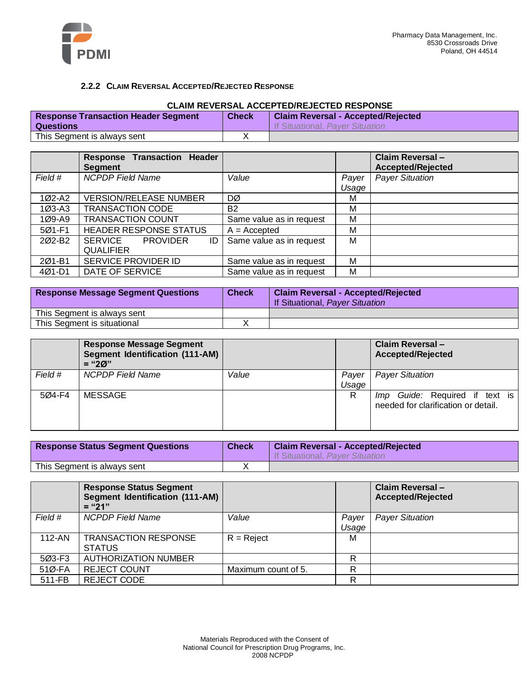

### **2.2.2 CLAIM REVERSAL ACCEPTED/REJECTED RESPONSE**

#### **CLAIM REVERSAL ACCEPTED/REJECTED RESPONSE**

| <b>Response Transaction Header Segment</b> | <b>Check</b> | <b>Claim Reversal - Accepted/Rejected</b> |
|--------------------------------------------|--------------|-------------------------------------------|
| Questions                                  |              | <b>If Situational, Paver Situation</b>    |
| This Segment is always sent                |              |                                           |

|                    | <b>Response Transaction Header</b><br><b>Segment</b> |                          |       | Claim Reversal-<br><b>Accepted/Rejected</b> |
|--------------------|------------------------------------------------------|--------------------------|-------|---------------------------------------------|
| Field #            | <b>NCPDP Field Name</b>                              | Value                    | Payer | <b>Payer Situation</b>                      |
|                    |                                                      |                          | Usage |                                             |
| 1Ø2-A2             | <b>VERSION/RELEASE NUMBER</b>                        | DØ                       | м     |                                             |
| 1Ø3-A3             | <b>TRANSACTION CODE</b>                              | <b>B2</b>                | м     |                                             |
| 1Ø9-A9             | <b>TRANSACTION COUNT</b>                             | Same value as in request | M     |                                             |
| 5Ø1-F1             | <b>HEADER RESPONSE STATUS</b>                        | $A = Accepted$           | м     |                                             |
| 202-B <sub>2</sub> | SERVICE<br><b>PROVIDER</b><br>ID                     | Same value as in request | м     |                                             |
|                    | <b>QUALIFIER</b>                                     |                          |       |                                             |
| 201-B1             | SERVICE PROVIDER ID                                  | Same value as in request | м     |                                             |
| $401 - D1$         | DATE OF SERVICE                                      | Same value as in request | м     |                                             |

| <b>Response Message Segment Questions</b> | <b>Check</b> | <b>Claim Reversal - Accepted/Rejected</b><br>If Situational, Payer Situation |
|-------------------------------------------|--------------|------------------------------------------------------------------------------|
| This Segment is always sent               |              |                                                                              |
| This Segment is situational               |              |                                                                              |

|         | <b>Response Message Segment</b><br>Segment Identification (111-AM)<br>$=$ "20" |       |                | Claim Reversal-<br><b>Accepted/Rejected</b>                           |
|---------|--------------------------------------------------------------------------------|-------|----------------|-----------------------------------------------------------------------|
| Field # | <b>NCPDP</b> Field Name                                                        | Value | Payer<br>Usage | <b>Payer Situation</b>                                                |
| 5Ø4-F4  | <b>MESSAGE</b>                                                                 |       | R              | Imp Guide: Required if text is<br>needed for clarification or detail. |

| <b>Response Status Segment Questions</b> | <b>Check</b> | <b>Claim Reversal - Accepted/Rejected</b><br>If Situational, Payer Situation |
|------------------------------------------|--------------|------------------------------------------------------------------------------|
| This Segment is always sent              |              |                                                                              |

|            | <b>Response Status Segment</b><br>Segment Identification (111-AM)<br>$=$ "21" |                     |                | Claim Reversal-<br><b>Accepted/Rejected</b> |
|------------|-------------------------------------------------------------------------------|---------------------|----------------|---------------------------------------------|
| Field #    | <b>NCPDP Field Name</b>                                                       | Value               | Payer<br>Usage | <b>Payer Situation</b>                      |
| $112 - AN$ | <b>TRANSACTION RESPONSE</b><br><b>STATUS</b>                                  | $R =$ Reject        | М              |                                             |
| 5Ø3-F3     | <b>AUTHORIZATION NUMBER</b>                                                   |                     | R              |                                             |
| 51Ø-FA     | <b>REJECT COUNT</b>                                                           | Maximum count of 5. | R              |                                             |
| 511-FB     | <b>REJECT CODE</b>                                                            |                     | R              |                                             |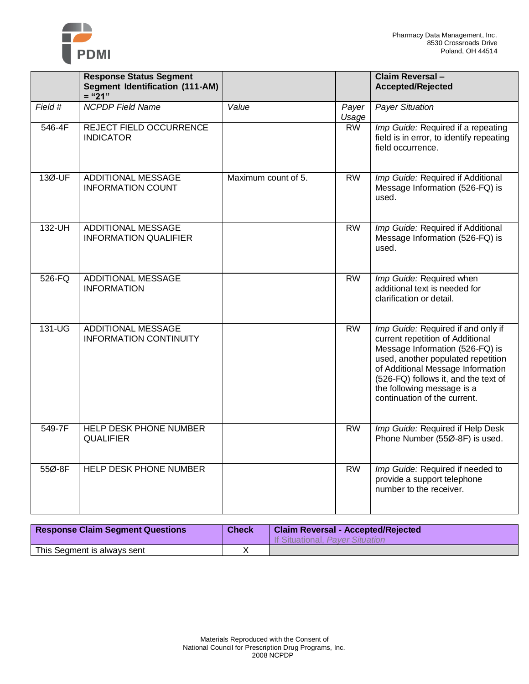

|         | <b>Response Status Segment</b><br><b>Segment Identification (111-AM)</b><br>$=$ "21" |                     |                 | <b>Claim Reversal -</b><br><b>Accepted/Rejected</b>                                                                                                                                                                                                                                        |
|---------|--------------------------------------------------------------------------------------|---------------------|-----------------|--------------------------------------------------------------------------------------------------------------------------------------------------------------------------------------------------------------------------------------------------------------------------------------------|
| Field # | <b>NCPDP Field Name</b>                                                              | Value               | Payer<br>Usage  | <b>Payer Situation</b>                                                                                                                                                                                                                                                                     |
| 546-4F  | REJECT FIELD OCCURRENCE<br><b>INDICATOR</b>                                          |                     | <b>RW</b>       | Imp Guide: Required if a repeating<br>field is in error, to identify repeating<br>field occurrence.                                                                                                                                                                                        |
| 13Ø-UF  | <b>ADDITIONAL MESSAGE</b><br><b>INFORMATION COUNT</b>                                | Maximum count of 5. | <b>RW</b>       | Imp Guide: Required if Additional<br>Message Information (526-FQ) is<br>used.                                                                                                                                                                                                              |
| 132-UH  | <b>ADDITIONAL MESSAGE</b><br><b>INFORMATION QUALIFIER</b>                            |                     | <b>RW</b>       | Imp Guide: Required if Additional<br>Message Information (526-FQ) is<br>used.                                                                                                                                                                                                              |
| 526-FQ  | <b>ADDITIONAL MESSAGE</b><br><b>INFORMATION</b>                                      |                     | <b>RW</b>       | Imp Guide: Required when<br>additional text is needed for<br>clarification or detail.                                                                                                                                                                                                      |
| 131-UG  | <b>ADDITIONAL MESSAGE</b><br><b>INFORMATION CONTINUITY</b>                           |                     | <b>RW</b>       | Imp Guide: Required if and only if<br>current repetition of Additional<br>Message Information (526-FQ) is<br>used, another populated repetition<br>of Additional Message Information<br>(526-FQ) follows it, and the text of<br>the following message is a<br>continuation of the current. |
| 549-7F  | HELP DESK PHONE NUMBER<br><b>QUALIFIER</b>                                           |                     | $\overline{RW}$ | Imp Guide: Required if Help Desk<br>Phone Number (55Ø-8F) is used.                                                                                                                                                                                                                         |
| 55Ø-8F  | HELP DESK PHONE NUMBER                                                               |                     | <b>RW</b>       | Imp Guide: Required if needed to<br>provide a support telephone<br>number to the receiver.                                                                                                                                                                                                 |

| <b>Response Claim Segment Questions</b> | <b>Check</b> | <b>Claim Reversal - Accepted/Rejected</b><br>If Situational, Payer Situation |
|-----------------------------------------|--------------|------------------------------------------------------------------------------|
| This Segment is always sent             |              |                                                                              |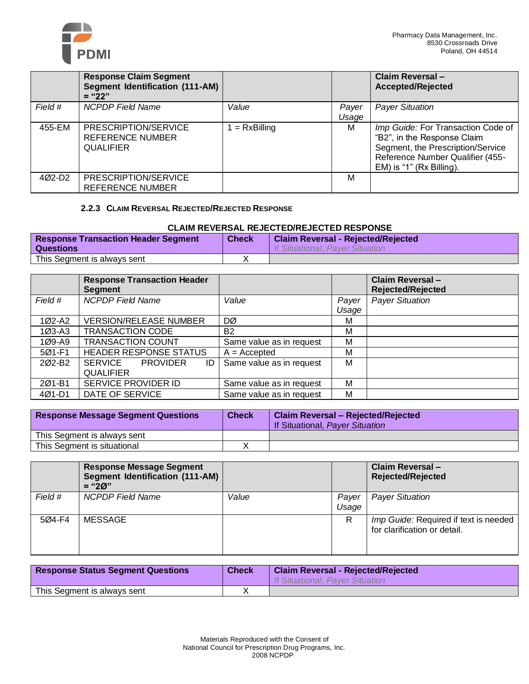

|         | <b>Response Claim Segment</b><br><b>Segment Identification (111-AM)</b><br>$=$ "22" |               |       | Claim Reversal-<br>Accepted/Rejected                                                                                                                                   |
|---------|-------------------------------------------------------------------------------------|---------------|-------|------------------------------------------------------------------------------------------------------------------------------------------------------------------------|
| Field # | <b>NCPDP Field Name</b>                                                             | Value         | Payer | <b>Payer Situation</b>                                                                                                                                                 |
|         |                                                                                     |               | Usage |                                                                                                                                                                        |
| 455-EM  | PRESCRIPTION/SERVICE<br>REFERENCE NUMBER<br><b>QUALIFIER</b>                        | $= RxBilling$ | м     | Imp Guide: For Transaction Code of<br>"B2", in the Response Claim<br>Segment, the Prescription/Service<br>Reference Number Qualifier (455-<br>EM) is "1" (Rx Billing). |
| 4Ø2-D2  | PRESCRIPTION/SERVICE<br>REFERENCE NUMBER                                            |               | м     |                                                                                                                                                                        |

### **2.2.3 CLAIM REVERSAL REJECTED/REJECTED RESPONSE**

### **CLAIM REVERSAL REJECTED/REJECTED RESPONSE**

| <b>Response Transaction Header Segment</b><br><b>Questions</b> | <b>Check</b> | <b>Claim Reversal - Rejected/Rejected</b><br>If Situational, Paver Situation |
|----------------------------------------------------------------|--------------|------------------------------------------------------------------------------|
| This Segment is always sent                                    |              |                                                                              |

|            | <b>Response Transaction Header</b><br><b>Segment</b> |                          |       | Claim Reversal-<br><b>Rejected/Rejected</b> |
|------------|------------------------------------------------------|--------------------------|-------|---------------------------------------------|
| Field #    | <b>NCPDP Field Name</b>                              | Value                    | Payer | <b>Payer Situation</b>                      |
|            |                                                      |                          | Usage |                                             |
| 1Ø2-A2     | <b>VERSION/RELEASE NUMBER</b>                        | DØ                       | м     |                                             |
| 1Ø3-A3     | <b>TRANSACTION CODE</b>                              | <b>B2</b>                | М     |                                             |
| 1Ø9-A9     | <b>TRANSACTION COUNT</b>                             | Same value as in request | M     |                                             |
| 5Ø1-F1     | <b>HEADER RESPONSE STATUS</b>                        | $A = Accepted$           | М     |                                             |
| 202-B2     | SERVICE<br><b>PROVIDER</b><br>ID                     | Same value as in request | M     |                                             |
|            | <b>QUALIFIER</b>                                     |                          |       |                                             |
| 201-B1     | SERVICE PROVIDER ID                                  | Same value as in request | M     |                                             |
| $401 - D1$ | DATE OF SERVICE                                      | Same value as in request | M     |                                             |

| <b>Response Message Segment Questions</b> | <b>Check</b> | <b>Claim Reversal - Rejected/Rejected</b><br>If Situational, Payer Situation |
|-------------------------------------------|--------------|------------------------------------------------------------------------------|
| This Segment is always sent               |              |                                                                              |
| This Segment is situational               |              |                                                                              |

|         | Response Message Segment<br>Segment Identification (111-AM)<br>$=$ "20" |       |                | <b>Claim Reversal-</b><br><b>Rejected/Rejected</b>                    |
|---------|-------------------------------------------------------------------------|-------|----------------|-----------------------------------------------------------------------|
| Field # | <b>NCPDP</b> Field Name                                                 | Value | Payer<br>Usage | <b>Payer Situation</b>                                                |
| 5Ø4-F4  | MESSAGE                                                                 |       | R              | Imp Guide: Required if text is needed<br>for clarification or detail. |

| <b>Response Status Segment Questions</b> | <b>Check</b> | <b>Claim Reversal - Rejected/Rejected</b><br>If Situational, Paver Situation |
|------------------------------------------|--------------|------------------------------------------------------------------------------|
| This Segment is always sent              |              |                                                                              |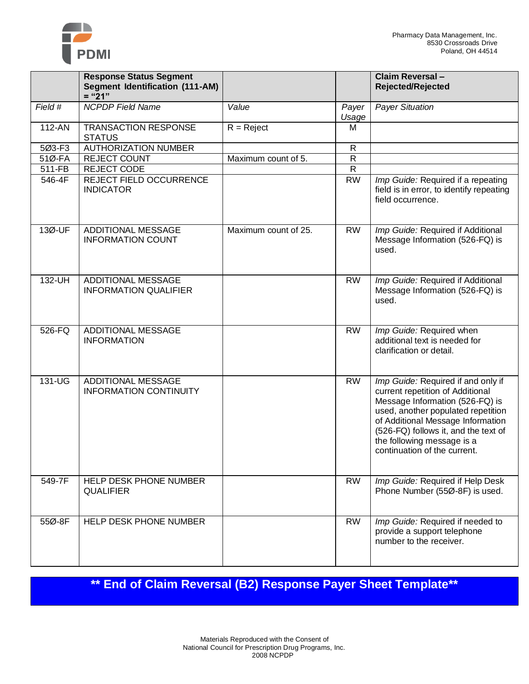

|         | <b>Response Status Segment</b>                            |                      |                | Claim Reversal-                                                                                                                                                                                                                                                                            |
|---------|-----------------------------------------------------------|----------------------|----------------|--------------------------------------------------------------------------------------------------------------------------------------------------------------------------------------------------------------------------------------------------------------------------------------------|
|         | <b>Segment Identification (111-AM)</b><br>$=" 21"$        |                      |                | <b>Rejected/Rejected</b>                                                                                                                                                                                                                                                                   |
| Field # | <b>NCPDP Field Name</b>                                   | Value                | Payer<br>Usage | <b>Payer Situation</b>                                                                                                                                                                                                                                                                     |
| 112-AN  | <b>TRANSACTION RESPONSE</b><br><b>STATUS</b>              | $R =$ Reject         | M              |                                                                                                                                                                                                                                                                                            |
| 5Ø3-F3  | <b>AUTHORIZATION NUMBER</b>                               |                      | R              |                                                                                                                                                                                                                                                                                            |
| 51Ø-FA  | <b>REJECT COUNT</b>                                       | Maximum count of 5.  | $\mathsf{R}$   |                                                                                                                                                                                                                                                                                            |
| 511-FB  | REJECT CODE                                               |                      | $\overline{R}$ |                                                                                                                                                                                                                                                                                            |
| 546-4F  | <b>REJECT FIELD OCCURRENCE</b><br><b>INDICATOR</b>        |                      | <b>RW</b>      | Imp Guide: Required if a repeating<br>field is in error, to identify repeating<br>field occurrence.                                                                                                                                                                                        |
| 13Ø-UF  | <b>ADDITIONAL MESSAGE</b><br><b>INFORMATION COUNT</b>     | Maximum count of 25. | <b>RW</b>      | Imp Guide: Required if Additional<br>Message Information (526-FQ) is<br>used.                                                                                                                                                                                                              |
| 132-UH  | <b>ADDITIONAL MESSAGE</b><br><b>INFORMATION QUALIFIER</b> |                      | <b>RW</b>      | Imp Guide: Required if Additional<br>Message Information (526-FQ) is<br>used.                                                                                                                                                                                                              |
| 526-FQ  | ADDITIONAL MESSAGE<br><b>INFORMATION</b>                  |                      | <b>RW</b>      | Imp Guide: Required when<br>additional text is needed for<br>clarification or detail.                                                                                                                                                                                                      |
| 131-UG  | ADDITIONAL MESSAGE<br><b>INFORMATION CONTINUITY</b>       |                      | <b>RW</b>      | Imp Guide: Required if and only if<br>current repetition of Additional<br>Message Information (526-FQ) is<br>used, another populated repetition<br>of Additional Message Information<br>(526-FQ) follows it, and the text of<br>the following message is a<br>continuation of the current. |
| 549-7F  | HELP DESK PHONE NUMBER<br><b>QUALIFIER</b>                |                      | <b>RW</b>      | Imp Guide: Required if Help Desk<br>Phone Number (55Ø-8F) is used.                                                                                                                                                                                                                         |
| 55Ø-8F  | HELP DESK PHONE NUMBER                                    |                      | <b>RW</b>      | Imp Guide: Required if needed to<br>provide a support telephone<br>number to the receiver.                                                                                                                                                                                                 |

**\*\* End of Claim Reversal (B2) Response Payer Sheet Template\*\***